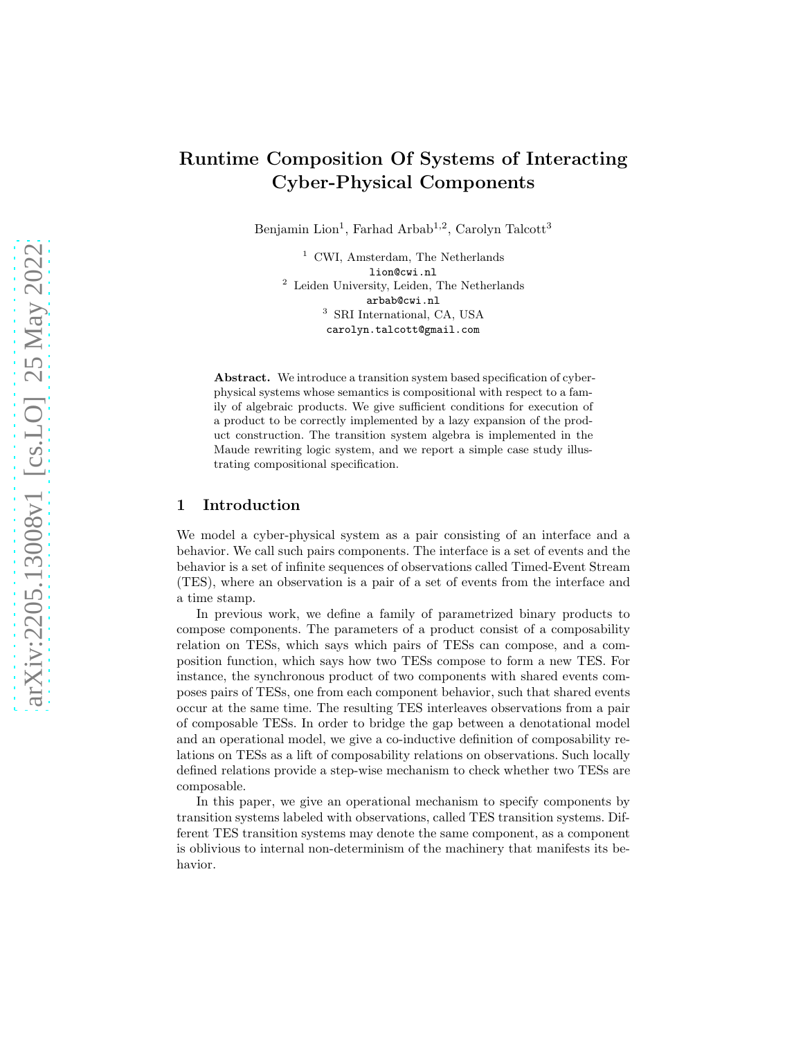Benjamin Lion<sup>1</sup>, Farhad Arbab<sup>1,2</sup>, Carolyn Talcott<sup>3</sup>

<sup>1</sup> CWI, Amsterdam, The Netherlands lion@cwi.nl <sup>2</sup> Leiden University, Leiden, The Netherlands arbab@cwi.nl 3 SRI International, CA, USA carolyn.talcott@gmail.com

Abstract. We introduce a transition system based specification of cyberphysical systems whose semantics is compositional with respect to a family of algebraic products. We give sufficient conditions for execution of a product to be correctly implemented by a lazy expansion of the product construction. The transition system algebra is implemented in the Maude rewriting logic system, and we report a simple case study illustrating compositional specification.

# 1 Introduction

We model a cyber-physical system as a pair consisting of an interface and a behavior. We call such pairs components. The interface is a set of events and the behavior is a set of infinite sequences of observations called Timed-Event Stream (TES), where an observation is a pair of a set of events from the interface and a time stamp.

In previous work, we define a family of parametrized binary products to compose components. The parameters of a product consist of a composability relation on TESs, which says which pairs of TESs can compose, and a composition function, which says how two TESs compose to form a new TES. For instance, the synchronous product of two components with shared events composes pairs of TESs, one from each component behavior, such that shared events occur at the same time. The resulting TES interleaves observations from a pair of composable TESs. In order to bridge the gap between a denotational model and an operational model, we give a co-inductive definition of composability relations on TESs as a lift of composability relations on observations. Such locally defined relations provide a step-wise mechanism to check whether two TESs are composable.

In this paper, we give an operational mechanism to specify components by transition systems labeled with observations, called TES transition systems. Different TES transition systems may denote the same component, as a component is oblivious to internal non-determinism of the machinery that manifests its behavior.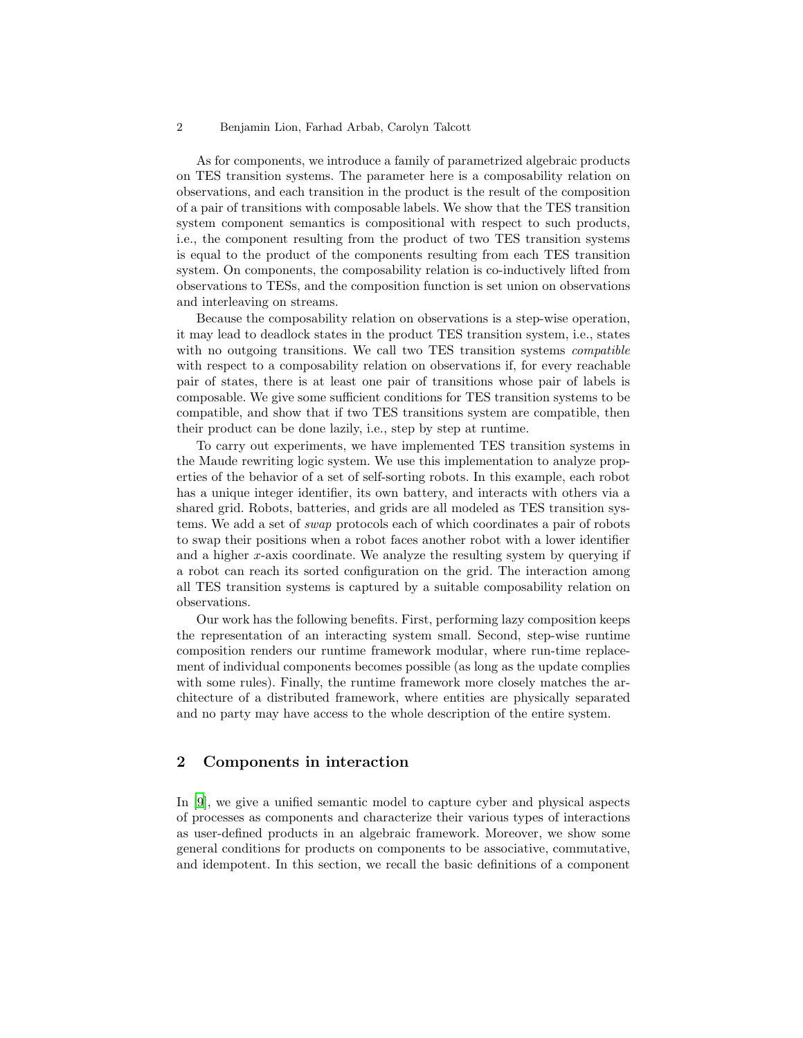As for components, we introduce a family of parametrized algebraic products on TES transition systems. The parameter here is a composability relation on observations, and each transition in the product is the result of the composition of a pair of transitions with composable labels. We show that the TES transition system component semantics is compositional with respect to such products, i.e., the component resulting from the product of two TES transition systems is equal to the product of the components resulting from each TES transition system. On components, the composability relation is co-inductively lifted from observations to TESs, and the composition function is set union on observations and interleaving on streams.

Because the composability relation on observations is a step-wise operation, it may lead to deadlock states in the product TES transition system, i.e., states with no outgoing transitions. We call two TES transition systems *compatible* with respect to a composability relation on observations if, for every reachable pair of states, there is at least one pair of transitions whose pair of labels is composable. We give some sufficient conditions for TES transition systems to be compatible, and show that if two TES transitions system are compatible, then their product can be done lazily, i.e., step by step at runtime.

To carry out experiments, we have implemented TES transition systems in the Maude rewriting logic system. We use this implementation to analyze properties of the behavior of a set of self-sorting robots. In this example, each robot has a unique integer identifier, its own battery, and interacts with others via a shared grid. Robots, batteries, and grids are all modeled as TES transition systems. We add a set of *swap* protocols each of which coordinates a pair of robots to swap their positions when a robot faces another robot with a lower identifier and a higher x-axis coordinate. We analyze the resulting system by querying if a robot can reach its sorted configuration on the grid. The interaction among all TES transition systems is captured by a suitable composability relation on observations.

Our work has the following benefits. First, performing lazy composition keeps the representation of an interacting system small. Second, step-wise runtime composition renders our runtime framework modular, where run-time replacement of individual components becomes possible (as long as the update complies with some rules). Finally, the runtime framework more closely matches the architecture of a distributed framework, where entities are physically separated and no party may have access to the whole description of the entire system.

## 2 Components in interaction

In [9], we give a unified semantic model to capture cyber and physical aspects of processes as components and characterize their various types of interactions as user-defined products in an algebraic framework. Moreover, we show some general conditions for products on components to be associative, commutative, and idempotent. In this section, we recall the basic definitions of a component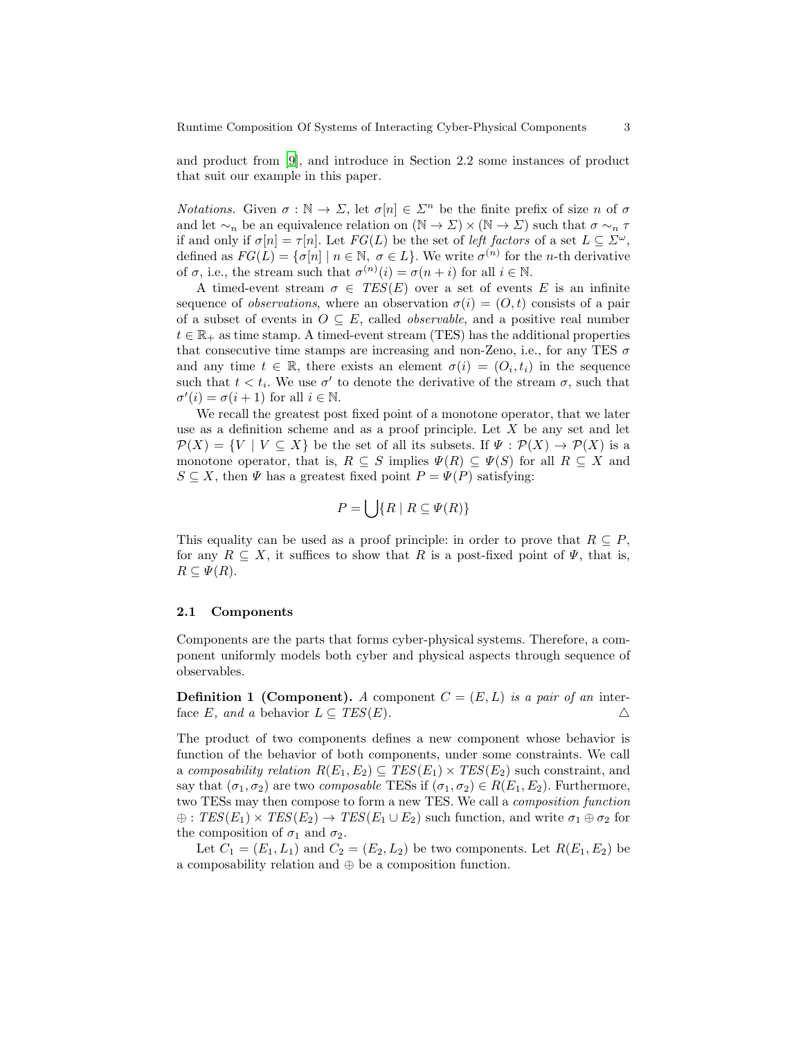and product from [9], and introduce in Section 2.2 some instances of product that suit our example in this paper.

*Notations.* Given  $\sigma : \mathbb{N} \to \Sigma$ , let  $\sigma[n] \in \Sigma^n$  be the finite prefix of size n of  $\sigma$ and let  $\sim_n$  be an equivalence relation on  $(\mathbb{N} \to \Sigma) \times (\mathbb{N} \to \Sigma)$  such that  $\sigma \sim_n \tau$ if and only if  $\sigma[n] = \tau[n]$ . Let  $FG(L)$  be the set of *left factors* of a set  $L \subseteq \Sigma^{\omega}$ , defined as  $FG(L) = {\sigma[n] \mid n \in \mathbb{N}, \ \sigma \in L}.$  We write  $\sigma^{(n)}$  for the *n*-th derivative of  $\sigma$ , i.e., the stream such that  $\sigma^{(n)}(i) = \sigma(n+i)$  for all  $i \in \mathbb{N}$ .

A timed-event stream  $\sigma \in \text{TES}(E)$  over a set of events E is an infinite sequence of *observations*, where an observation  $\sigma(i) = (O, t)$  consists of a pair of a subset of events in  $O \subseteq E$ , called *observable*, and a positive real number  $t \in \mathbb{R}_+$  as time stamp. A timed-event stream (TES) has the additional properties that consecutive time stamps are increasing and non-Zeno, i.e., for any TES  $\sigma$ and any time  $t \in \mathbb{R}$ , there exists an element  $\sigma(i) = (O_i, t_i)$  in the sequence such that  $t < t_i$ . We use  $\sigma'$  to denote the derivative of the stream  $\sigma$ , such that  $\sigma'(i) = \sigma(i+1)$  for all  $i \in \mathbb{N}$ .

We recall the greatest post fixed point of a monotone operator, that we later use as a definition scheme and as a proof principle. Let  $X$  be any set and let  $\mathcal{P}(X) = \{V \mid V \subseteq X\}$  be the set of all its subsets. If  $\Psi : \mathcal{P}(X) \to \mathcal{P}(X)$  is a monotone operator, that is,  $R \subseteq S$  implies  $\Psi(R) \subseteq \Psi(S)$  for all  $R \subseteq X$  and  $S \subseteq X$ , then  $\Psi$  has a greatest fixed point  $P = \Psi(P)$  satisfying:

$$
P = \left\{ \left| \int \{R \mid R \subseteq \Psi(R) \} \right. \right\}
$$

This equality can be used as a proof principle: in order to prove that  $R \subseteq P$ , for any  $R \subseteq X$ , it suffices to show that R is a post-fixed point of  $\Psi$ , that is,  $R\subset \Psi(R)$ .

### <span id="page-2-0"></span>2.1 Components

Components are the parts that forms cyber-physical systems. Therefore, a component uniformly models both cyber and physical aspects through sequence of observables.

<span id="page-2-1"></span>**Definition 1 (Component).** A component  $C = (E, L)$  *is a pair of an* interface E, and a behavior  $L \subseteq TES(E)$ .

The product of two components defines a new component whose behavior is function of the behavior of both components, under some constraints. We call a *composability relation*  $R(E_1, E_2) \subseteq TES(E_1) \times TES(E_2)$  such constraint, and say that  $(\sigma_1, \sigma_2)$  are two *composable* TESs if  $(\sigma_1, \sigma_2) \in R(E_1, E_2)$ . Furthermore, two TESs may then compose to form a new TES. We call a *composition function*  $\oplus$ :  $TES(E_1) \times TES(E_2) \rightarrow TES(E_1 \cup E_2)$  such function, and write  $\sigma_1 \oplus \sigma_2$  for the composition of  $\sigma_1$  and  $\sigma_2$ .

<span id="page-2-2"></span>Let  $C_1 = (E_1, L_1)$  and  $C_2 = (E_2, L_2)$  be two components. Let  $R(E_1, E_2)$  be a composability relation and ⊕ be a composition function.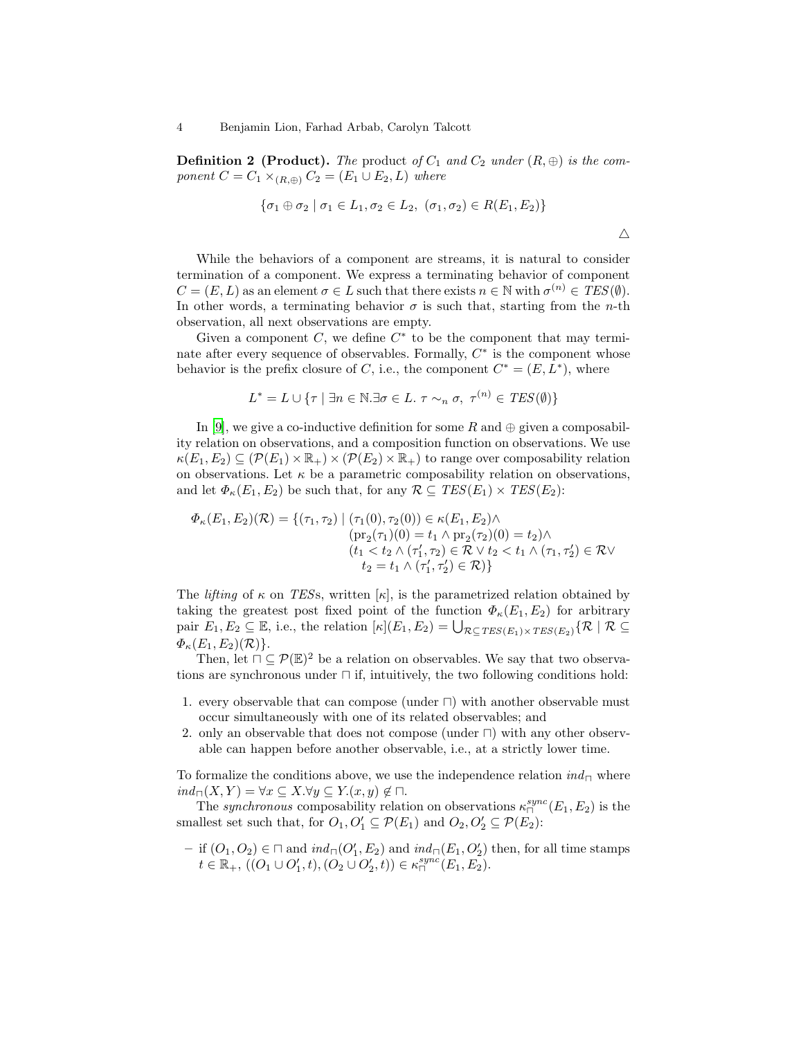**Definition 2 (Product).** The product of  $C_1$  and  $C_2$  under  $(R, \oplus)$  is the com*ponent*  $C = C_1 \times_{(R,\oplus)} C_2 = (E_1 \cup E_2, L)$  *where* 

$$
\{\sigma_1 \oplus \sigma_2 \mid \sigma_1 \in L_1, \sigma_2 \in L_2, \ (\sigma_1, \sigma_2) \in R(E_1, E_2)\}\
$$

 $\triangle$ 

While the behaviors of a component are streams, it is natural to consider termination of a component. We express a terminating behavior of component  $C = (E, L)$  as an element  $\sigma \in L$  such that there exists  $n \in \mathbb{N}$  with  $\sigma^{(n)} \in TES(\emptyset)$ . In other words, a terminating behavior  $\sigma$  is such that, starting from the *n*-th observation, all next observations are empty.

Given a component  $C$ , we define  $C^*$  to be the component that may terminate after every sequence of observables. Formally,  $C^*$  is the component whose behavior is the prefix closure of C, i.e., the component  $C^* = (E, L^*)$ , where

$$
L^* = L \cup \{ \tau \mid \exists n \in \mathbb{N}.\exists \sigma \in L.\ \tau \sim_n \sigma,\ \tau^{(n)} \in \mathit{TES}(\emptyset) \}
$$

In [9], we give a co-inductive definition for some R and  $\oplus$  given a composability relation on observations, and a composition function on observations. We use  $\kappa(E_1, E_2) \subseteq (\mathcal{P}(E_1) \times \mathbb{R}_+) \times (\mathcal{P}(E_2) \times \mathbb{R}_+)$  to range over composability relation on observations. Let  $\kappa$  be a parametric composability relation on observations, and let  $\Phi_{\kappa}(E_1, E_2)$  be such that, for any  $\mathcal{R} \subseteq \text{TES}(E_1) \times \text{TES}(E_2)$ :

$$
\Phi_{\kappa}(E_1, E_2)(\mathcal{R}) = \{ (\tau_1, \tau_2) \mid (\tau_1(0), \tau_2(0)) \in \kappa(E_1, E_2) \land \n\begin{aligned}\n&\text{(pr}_2(\tau_1)(0) = t_1 \land \text{pr}_2(\tau_2)(0) = t_2) \land \n(t_1 < t_2 \land (\tau_1', \tau_2) \in \mathcal{R} \lor t_2 < t_1 \land (\tau_1, \tau_2') \in \mathcal{R} \lor \nt_2 &= t_1 \land (\tau_1', \tau_2') \in \mathcal{R} \end{aligned}\}
$$

The *lifting* of  $\kappa$  on *TESs*, written  $[\kappa]$ , is the parametrized relation obtained by taking the greatest post fixed point of the function  $\Phi_{\kappa}(E_1, E_2)$  for arbitrary pair  $E_1, E_2 \subseteq \mathbb{E}$ , i.e., the relation  $[\kappa](E_1, E_2) = \bigcup_{\mathcal{R} \subseteq TES(E_1) \times TES(E_2)} {\{\mathcal{R} \mid \mathcal{R} \subseteq \mathcal{R} \mid \mathcal{R} \subseteq \mathcal{R} \mid \mathcal{R} \subseteq \mathcal{R} \text{ is a finite}}$  $\Phi_{\kappa}(E_1, E_2)(\mathcal{R})\}.$ 

Then, let  $\Box \subseteq \mathcal{P}(\mathbb{E})^2$  be a relation on observables. We say that two observations are synchronous under ⊓ if, intuitively, the two following conditions hold:

- 1. every observable that can compose (under ⊓) with another observable must occur simultaneously with one of its related observables; and
- 2. only an observable that does not compose (under ⊓) with any other observable can happen before another observable, i.e., at a strictly lower time.

To formalize the conditions above, we use the independence relation *ind*<sup>⊓</sup> where  $ind_{\square}(X, Y) = \forall x \subseteq X. \forall y \subseteq Y.(x, y) \notin \square.$ 

The *synchronous* composability relation on observations  $\kappa_{\square}^{sync}(E_1, E_2)$  is the smallest set such that, for  $O_1, O'_1 \subseteq \mathcal{P}(E_1)$  and  $O_2, O'_2 \subseteq \mathcal{P}(E_2)$ :

 $-$  if  $(O_1, O_2) \in ∩$  and  $ind<sub>□</sub>(O'<sub>1</sub>, E<sub>2</sub>)$  and  $ind<sub>□</sub>(E<sub>1</sub>, O'<sub>2</sub>)$  then, for all time stamps  $t \in \mathbb{R}_+$ ,  $((O_1 \cup O'_1, t), (O_2 \cup O'_2, t)) \in \kappa_{\sqcap}^{sync}(E_1, E_2).$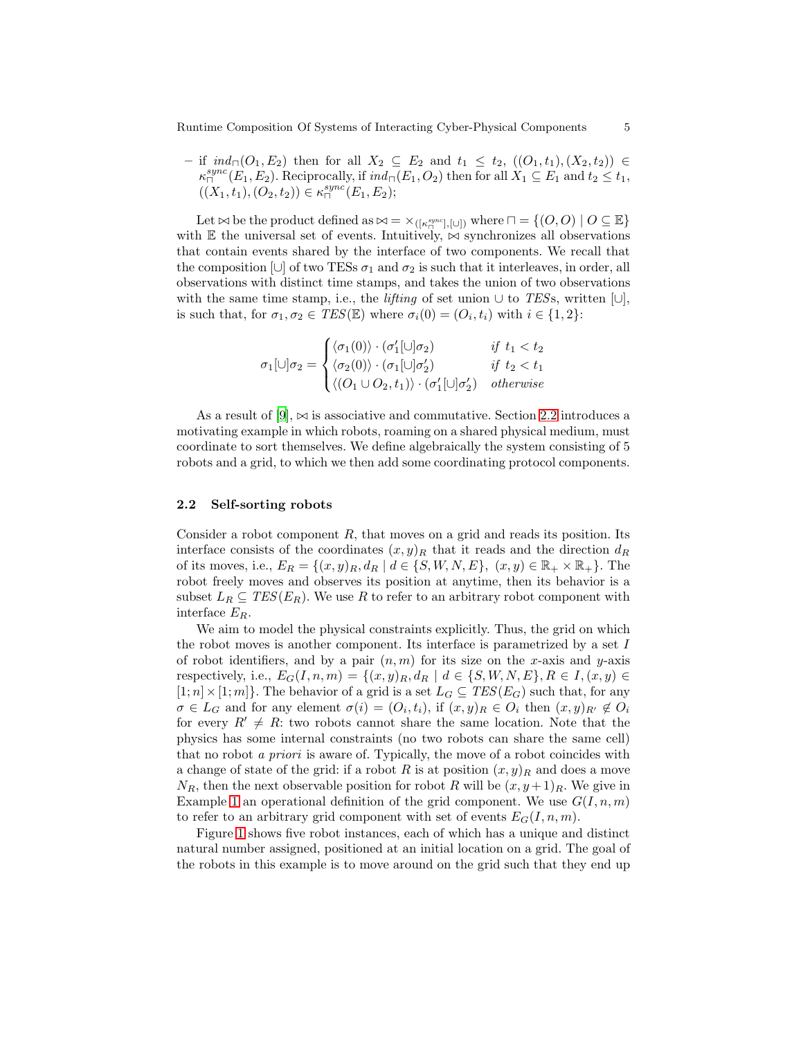$-$  if  $ind_{\Box}(O_1, E_2)$  then for all  $X_2 \subseteq E_2$  and  $t_1 \leq t_2$ ,  $((O_1, t_1), (X_2, t_2)) \in$  $\kappa_{\square}^{sync}(E_1, E_2)$ . Reciprocally, if  $ind_{\square}(E_1, O_2)$  then for all  $X_1 \subseteq E_1$  and  $t_2 \le t_1$ ,  $((X_1,t_1),(O_2,t_2)) \in \kappa_{\sqcap}^{sync}(E_1,E_2);$ 

Let  $\bowtie$  be the product defined as  $\bowtie = \times_{([K_{\square}^{sync}], [\cup])}$  where  $\square = \{(O, O) \mid O \subseteq \mathbb{E}\}\$ with E the universal set of events. Intuitively,  $\bowtie$  synchronizes all observations that contain events shared by the interface of two components. We recall that the composition [∪] of two TESs  $\sigma_1$  and  $\sigma_2$  is such that it interleaves, in order, all observations with distinct time stamps, and takes the union of two observations with the same time stamp, i.e., the *lifting* of set union ∪ to *TES*s, written [∪], is such that, for  $\sigma_1, \sigma_2 \in \mathit{TES}(\mathbb{E})$  where  $\sigma_i(0) = (O_i, t_i)$  with  $i \in \{1, 2\}$ :

$$
\sigma_1[\cup]\sigma_2 = \begin{cases}\n\langle \sigma_1(0) \rangle \cdot (\sigma_1'[\cup]\sigma_2) & \text{if } t_1 < t_2 \\
\langle \sigma_2(0) \rangle \cdot (\sigma_1[\cup]\sigma_2') & \text{if } t_2 < t_1 \\
\langle (O_1 \cup O_2, t_1) \rangle \cdot (\sigma_1'[\cup]\sigma_2') & \text{otherwise}\n\end{cases}
$$

As a result of [9],  $\bowtie$  is associative and commutative. Section [2.2](#page-4-0) introduces a motivating example in which robots, roaming on a shared physical medium, must coordinate to sort themselves. We define algebraically the system consisting of 5 robots and a grid, to which we then add some coordinating protocol components.

### <span id="page-4-0"></span>2.2 Self-sorting robots

Consider a robot component  $R$ , that moves on a grid and reads its position. Its interface consists of the coordinates  $(x, y)_R$  that it reads and the direction  $d_R$ of its moves, i.e.,  $E_R = \{(x, y)_R, d_R \mid d \in \{S, W, N, E\}, (x, y) \in \mathbb{R}_+ \times \mathbb{R}_+\}.$  The robot freely moves and observes its position at anytime, then its behavior is a subset  $L_R \subseteq TES(E_R)$ . We use R to refer to an arbitrary robot component with interface ER.

We aim to model the physical constraints explicitly. Thus, the grid on which the robot moves is another component. Its interface is parametrized by a set I of robot identifiers, and by a pair  $(n, m)$  for its size on the x-axis and y-axis respectively, i.e.,  $E_G(I, n, m) = \{(x, y)_R, d_R \mid d \in \{S, W, N, E\}, R \in I, (x, y) \in$  $[1; n] \times [1; m]$ . The behavior of a grid is a set  $L_G \subseteq TES(E_G)$  such that, for any  $\sigma \in L_G$  and for any element  $\sigma(i) = (O_i, t_i)$ , if  $(x, y)_R \in O_i$  then  $(x, y)_{R'} \notin O_i$ for every  $R' \neq R$ : two robots cannot share the same location. Note that the physics has some internal constraints (no two robots can share the same cell) that no robot *a priori* is aware of. Typically, the move of a robot coincides with a change of state of the grid: if a robot R is at position  $(x, y)_R$  and does a move  $N_R$ , then the next observable position for robot R will be  $(x, y+1)_R$ . We give in Example [1](#page-9-0) an operational definition of the grid component. We use  $G(I, n, m)$ to refer to an arbitrary grid component with set of events  $E_G(I, n, m)$ .

Figure [1](#page-5-0) shows five robot instances, each of which has a unique and distinct natural number assigned, positioned at an initial location on a grid. The goal of the robots in this example is to move around on the grid such that they end up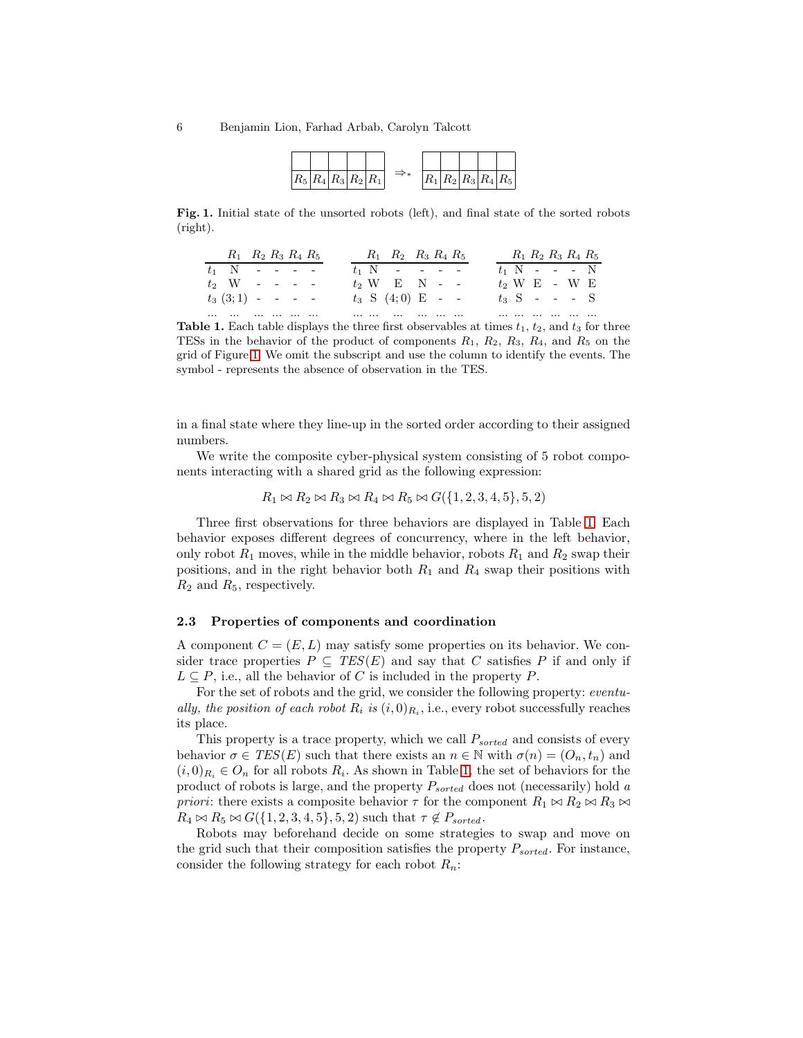| $ R_5 R_4 R_3 R_2 R_1 $ |  |  |  | $\lfloor  R_2 R_3 R_4 R_5 \rfloor$ |  |  |
|-------------------------|--|--|--|------------------------------------|--|--|

Fig. 1. Initial state of the unsorted robots (left), and final state of the sorted robots (right).

<span id="page-5-0"></span>

|          | $R_1$ $R_2$ $R_3$ $R_4$ $R_5$ |  |  |  |   | $R_1$ $R_2$ $R_3$ $R_4$ $R_5$ |  |  |  |  | $R_1 R_2 R_3 R_4 R_5$ |  |
|----------|-------------------------------|--|--|--|---|-------------------------------|--|--|--|--|-----------------------|--|
|          | $t_1$ N - - - -               |  |  |  |   | $t_1$ N - - - -               |  |  |  |  | $t_1$ N - - - N       |  |
|          | $t_2$ W - - - -               |  |  |  |   | $t_2$ W E N - -               |  |  |  |  | $t_2$ W E - W E       |  |
|          | $t_3(3;1)$ - - - -            |  |  |  |   | $t_3$ S $(4,0)$ E - -         |  |  |  |  | $t_3$ S - - - S       |  |
| $\cdots$ |                               |  |  |  | . |                               |  |  |  |  |                       |  |

<span id="page-5-1"></span>**Table 1.** Each table displays the three first observables at times  $t_1$ ,  $t_2$ , and  $t_3$  for three TESs in the behavior of the product of components  $R_1$ ,  $R_2$ ,  $R_3$ ,  $R_4$ , and  $R_5$  on the grid of Figure [1.](#page-5-0) We omit the subscript and use the column to identify the events. The symbol - represents the absence of observation in the TES.

in a final state where they line-up in the sorted order according to their assigned numbers.

We write the composite cyber-physical system consisting of 5 robot components interacting with a shared grid as the following expression:

 $R_1 \bowtie R_2 \bowtie R_3 \bowtie R_4 \bowtie R_5 \bowtie G({1, 2, 3, 4, 5}, 5, 2)$ 

Three first observations for three behaviors are displayed in Table [1.](#page-5-1) Each behavior exposes different degrees of concurrency, where in the left behavior, only robot  $R_1$  moves, while in the middle behavior, robots  $R_1$  and  $R_2$  swap their positions, and in the right behavior both  $R_1$  and  $R_4$  swap their positions with  $R_2$  and  $R_5$ , respectively.

### 2.3 Properties of components and coordination

A component  $C = (E, L)$  may satisfy some properties on its behavior. We consider trace properties  $P \subseteq TES(E)$  and say that C satisfies P if and only if  $L \subseteq P$ , i.e., all the behavior of C is included in the property P.

For the set of robots and the grid, we consider the following property: *eventually, the position of each robot*  $R_i$  *is*  $(i, 0)_{R_i}$ , i.e., every robot successfully reaches its place.

This property is a trace property, which we call  $P_{sorted}$  and consists of every behavior  $\sigma \in \text{TES}(E)$  such that there exists an  $n \in \mathbb{N}$  with  $\sigma(n) = (O_n, t_n)$  and  $(i,0)_{R_i} \in O_n$  for all robots  $R_i$ . As shown in Table [1,](#page-5-1) the set of behaviors for the product of robots is large, and the property Psorted does not (necessarily) hold *a priori*: there exists a composite behavior  $\tau$  for the component  $R_1 \bowtie R_2 \bowtie R_3 \bowtie$  $R_4 \bowtie R_5 \bowtie G({1, 2, 3, 4, 5}, 5, 2)$  such that  $\tau \notin P_{sorted}$ .

Robots may beforehand decide on some strategies to swap and move on the grid such that their composition satisfies the property  $P_{sorted}$ . For instance, consider the following strategy for each robot  $R_n$ :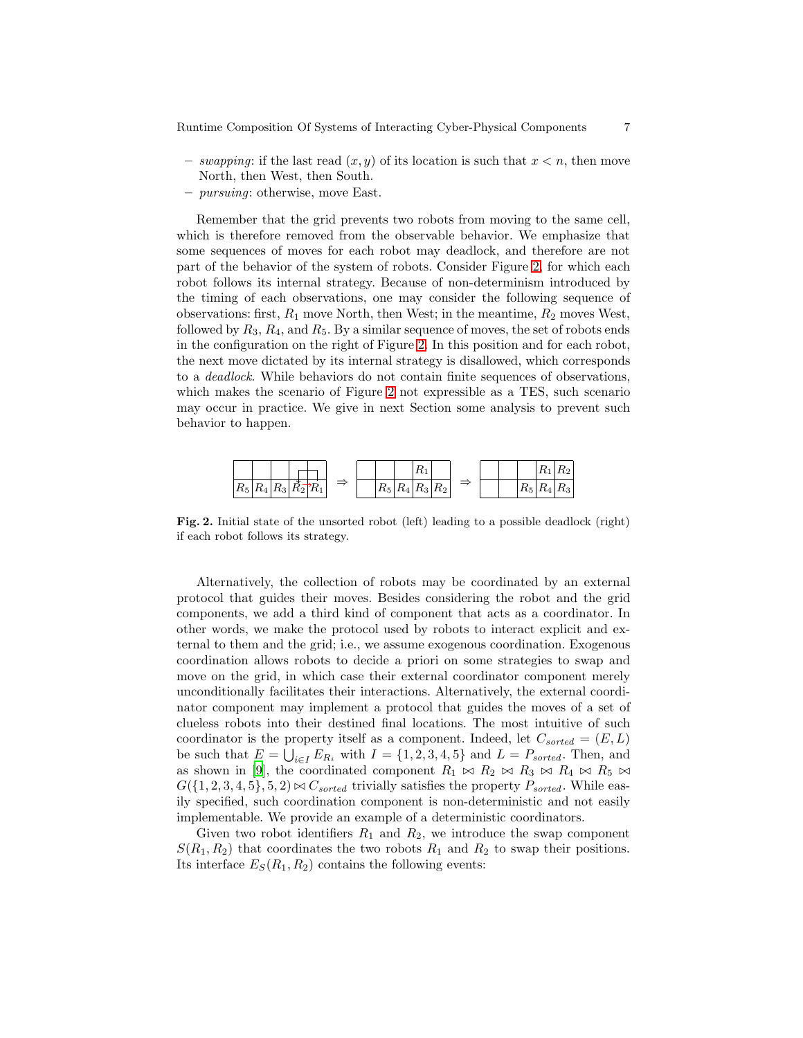- $-$  *swapping*: if the last read  $(x, y)$  of its location is such that  $x < n$ , then move North, then West, then South.
- *pursuing*: otherwise, move East.

Remember that the grid prevents two robots from moving to the same cell, which is therefore removed from the observable behavior. We emphasize that some sequences of moves for each robot may deadlock, and therefore are not part of the behavior of the system of robots. Consider Figure [2,](#page-6-0) for which each robot follows its internal strategy. Because of non-determinism introduced by the timing of each observations, one may consider the following sequence of observations: first,  $R_1$  move North, then West; in the meantime,  $R_2$  moves West, followed by  $R_3, R_4$ , and  $R_5$ . By a similar sequence of moves, the set of robots ends in the configuration on the right of Figure [2.](#page-6-0) In this position and for each robot, the next move dictated by its internal strategy is disallowed, which corresponds to a *deadlock*. While behaviors do not contain finite sequences of observations, which makes the scenario of Figure [2](#page-6-0) not expressible as a TES, such scenario may occur in practice. We give in next Section some analysis to prevent such behavior to happen.



<span id="page-6-0"></span>Fig. 2. Initial state of the unsorted robot (left) leading to a possible deadlock (right) if each robot follows its strategy.

Alternatively, the collection of robots may be coordinated by an external protocol that guides their moves. Besides considering the robot and the grid components, we add a third kind of component that acts as a coordinator. In other words, we make the protocol used by robots to interact explicit and external to them and the grid; i.e., we assume exogenous coordination. Exogenous coordination allows robots to decide a priori on some strategies to swap and move on the grid, in which case their external coordinator component merely unconditionally facilitates their interactions. Alternatively, the external coordinator component may implement a protocol that guides the moves of a set of clueless robots into their destined final locations. The most intuitive of such coordinator is the property itself as a component. Indeed, let  $C_{sorted} = (E, L)$ be such that  $E = \bigcup_{i \in I} E_{R_i}$  with  $I = \{1, 2, 3, 4, 5\}$  and  $L = P_{sorted}$ . Then, and as shown in [9], the coordinated component  $R_1 \bowtie R_2 \bowtie R_3 \bowtie R_4 \bowtie R_5 \bowtie$  $G({1, 2, 3, 4, 5}, 5, 2) \bowtie C_{sorted}$  trivially satisfies the property  $P_{sorted}$ . While easily specified, such coordination component is non-deterministic and not easily implementable. We provide an example of a deterministic coordinators.

Given two robot identifiers  $R_1$  and  $R_2$ , we introduce the swap component  $S(R_1, R_2)$  that coordinates the two robots  $R_1$  and  $R_2$  to swap their positions. Its interface  $E_S(R_1, R_2)$  contains the following events: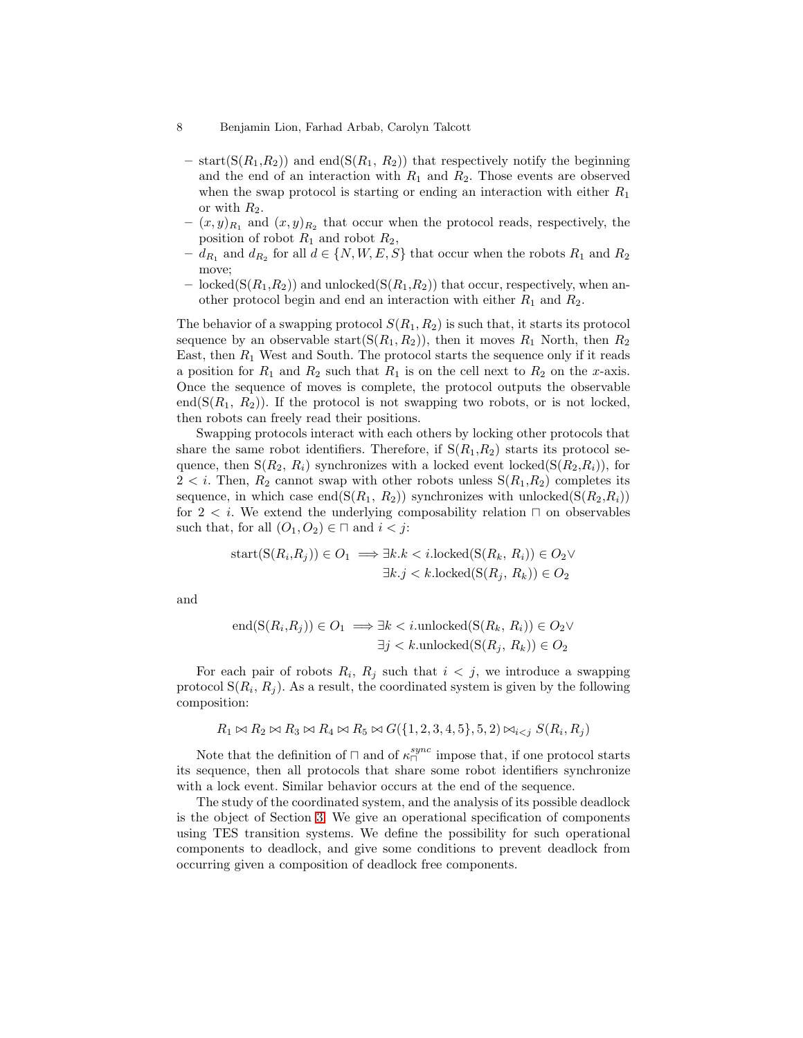- $-$  start( $S(R_1,R_2)$ ) and end( $S(R_1, R_2)$ ) that respectively notify the beginning and the end of an interaction with  $R_1$  and  $R_2$ . Those events are observed when the swap protocol is starting or ending an interaction with either  $R_1$ or with  $R_2$ .
- $(x, y)_{R_1}$  and  $(x, y)_{R_2}$  that occur when the protocol reads, respectively, the position of robot  $R_1$  and robot  $R_2$ ,
- $d_{R_1}$  and  $d_{R_2}$  for all  $d \in \{N, W, E, S\}$  that occur when the robots  $R_1$  and  $R_2$ move;
- locked( $S(R_1,R_2)$ ) and unlocked( $S(R_1,R_2)$ ) that occur, respectively, when another protocol begin and end an interaction with either  $R_1$  and  $R_2$ .

The behavior of a swapping protocol  $S(R_1, R_2)$  is such that, it starts its protocol sequence by an observable start( $S(R_1, R_2)$ ), then it moves  $R_1$  North, then  $R_2$ East, then  $R_1$  West and South. The protocol starts the sequence only if it reads a position for  $R_1$  and  $R_2$  such that  $R_1$  is on the cell next to  $R_2$  on the x-axis. Once the sequence of moves is complete, the protocol outputs the observable end( $S(R_1, R_2)$ ). If the protocol is not swapping two robots, or is not locked, then robots can freely read their positions.

Swapping protocols interact with each others by locking other protocols that share the same robot identifiers. Therefore, if  $S(R_1, R_2)$  starts its protocol sequence, then  $S(R_2, R_i)$  synchronizes with a locked event locked $(S(R_2, R_i))$ , for  $2 < i$ . Then,  $R_2$  cannot swap with other robots unless  $S(R_1, R_2)$  completes its sequence, in which case end $(S(R_1, R_2))$  synchronizes with unlocked $(S(R_2, R_i))$ for  $2 < i$ . We extend the underlying composability relation  $\Box$  on observables such that, for all  $(O_1, O_2) \in \square$  and  $i < j$ :

$$
start(S(R_i, R_j)) \in O_1 \implies \exists k. k < i.\text{locked}(S(R_k, R_i)) \in O_2 \vee \exists k. j < k.\text{locked}(S(R_j, R_k)) \in O_2
$$

and

$$
end(S(R_i, R_j)) \in O_1 \implies \exists k < i.\text{unlocked}(S(R_k, R_i)) \in O_2 \vee \exists j < k.\text{unlocked}(S(R_j, R_k)) \in O_2
$$

For each pair of robots  $R_i$ ,  $R_j$  such that  $i < j$ , we introduce a swapping protocol  $S(R_i, R_j)$ . As a result, the coordinated system is given by the following composition:

$$
R_1 \bowtie R_2 \bowtie R_3 \bowtie R_4 \bowtie R_5 \bowtie G(\{1, 2, 3, 4, 5\}, 5, 2) \bowtie_{i < j} S(R_i, R_j)
$$

Note that the definition of  $\Box$  and of  $\kappa_{\Box}^{sync}$  impose that, if one protocol starts its sequence, then all protocols that share some robot identifiers synchronize with a lock event. Similar behavior occurs at the end of the sequence.

The study of the coordinated system, and the analysis of its possible deadlock is the object of Section [3.](#page-8-0) We give an operational specification of components using TES transition systems. We define the possibility for such operational components to deadlock, and give some conditions to prevent deadlock from occurring given a composition of deadlock free components.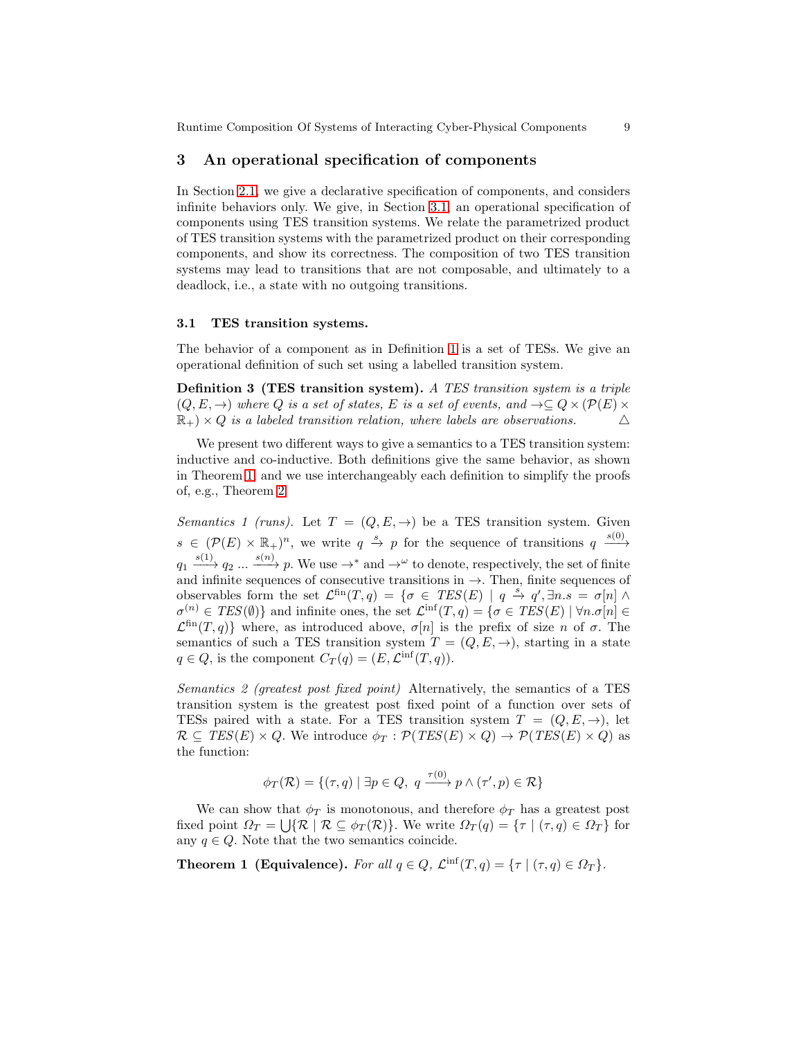## <span id="page-8-0"></span>3 An operational specification of components

In Section [2.1,](#page-2-0) we give a declarative specification of components, and considers infinite behaviors only. We give, in Section [3.1,](#page-8-1) an operational specification of components using TES transition systems. We relate the parametrized product of TES transition systems with the parametrized product on their corresponding components, and show its correctness. The composition of two TES transition systems may lead to transitions that are not composable, and ultimately to a deadlock, i.e., a state with no outgoing transitions.

### <span id="page-8-1"></span>3.1 TES transition systems.

The behavior of a component as in Definition [1](#page-2-1) is a set of TESs. We give an operational definition of such set using a labelled transition system.

Definition 3 (TES transition system). *A TES transition system is a triple*  $(Q, E, \rightarrow)$  where Q is a set of states, E is a set of events, and  $\rightarrow \subseteq Q \times (\mathcal{P}(E) \times$  $\mathbb{R}_+$ ) × Q *is a labeled transition relation, where labels are observations.*  $\Delta$ 

We present two different ways to give a semantics to a TES transition system: inductive and co-inductive. Both definitions give the same behavior, as shown in Theorem [1,](#page-8-2) and we use interchangeably each definition to simplify the proofs of, e.g., Theorem [2.](#page-10-0)

*Semantics 1 (runs).* Let  $T = (Q, E, \rightarrow)$  be a TES transition system. Given  $s \in (\mathcal{P}(E) \times \mathbb{R}_+)^n$ , we write  $q \stackrel{s}{\rightarrow} p$  for the sequence of transitions  $q \stackrel{s(0)}{\longrightarrow}$  $q_1 \xrightarrow{s(1)} q_2 \dots \xrightarrow{s(n)} p$ . We use  $\rightarrow^*$  and  $\rightarrow^{\omega}$  to denote, respectively, the set of finite and infinite sequences of consecutive transitions in  $\rightarrow$ . Then, finite sequences of observables form the set  $\mathcal{L}^{\text{fin}}(T,q) = \{ \sigma \in \text{TES}(E) \mid q \stackrel{s}{\rightarrow} q', \exists n.s = \sigma[n] \wedge$  $\sigma^{(n)} \in TES(\emptyset)$  and infinite ones, the set  $\mathcal{L}^{\text{inf}}(T, q) = \{ \sigma \in TES(E) \mid \forall n. \sigma[n] \in$  $\mathcal{L}^{\text{fin}}(T,q)$  where, as introduced above,  $\sigma[n]$  is the prefix of size n of  $\sigma$ . The semantics of such a TES transition system  $T = (Q, E, \rightarrow)$ , starting in a state  $q \in Q$ , is the component  $C_T(q) = (E, \mathcal{L}^{\text{inf}}(T, q)).$ 

*Semantics 2 (greatest post fixed point)* Alternatively, the semantics of a TES transition system is the greatest post fixed point of a function over sets of TESs paired with a state. For a TES transition system  $T = (Q, E, \rightarrow)$ , let  $\mathcal{R} \subseteq \text{TES}(E) \times Q$ . We introduce  $\phi_T : \mathcal{P}(\text{TES}(E) \times Q) \rightarrow \mathcal{P}(\text{TES}(E) \times Q)$  as the function:

<span id="page-8-2"></span>
$$
\phi_T(\mathcal{R}) = \{ (\tau, q) \mid \exists p \in Q, \ q \xrightarrow{\tau(0)} p \land (\tau', p) \in \mathcal{R} \}
$$

We can show that  $\phi_T$  is monotonous, and therefore  $\phi_T$  has a greatest post fixed point  $\Omega_T = \bigcup \{ \mathcal{R} \mid \mathcal{R} \subseteq \phi_T(\mathcal{R}) \}.$  We write  $\Omega_T(q) = \{ \tau \mid (\tau, q) \in \Omega_T \}$  for any  $q \in Q$ . Note that the two semantics coincide.

**Theorem 1 (Equivalence).** For all  $q \in Q$ ,  $\mathcal{L}^{\text{inf}}(T, q) = \{\tau \mid (\tau, q) \in \Omega_T\}$ .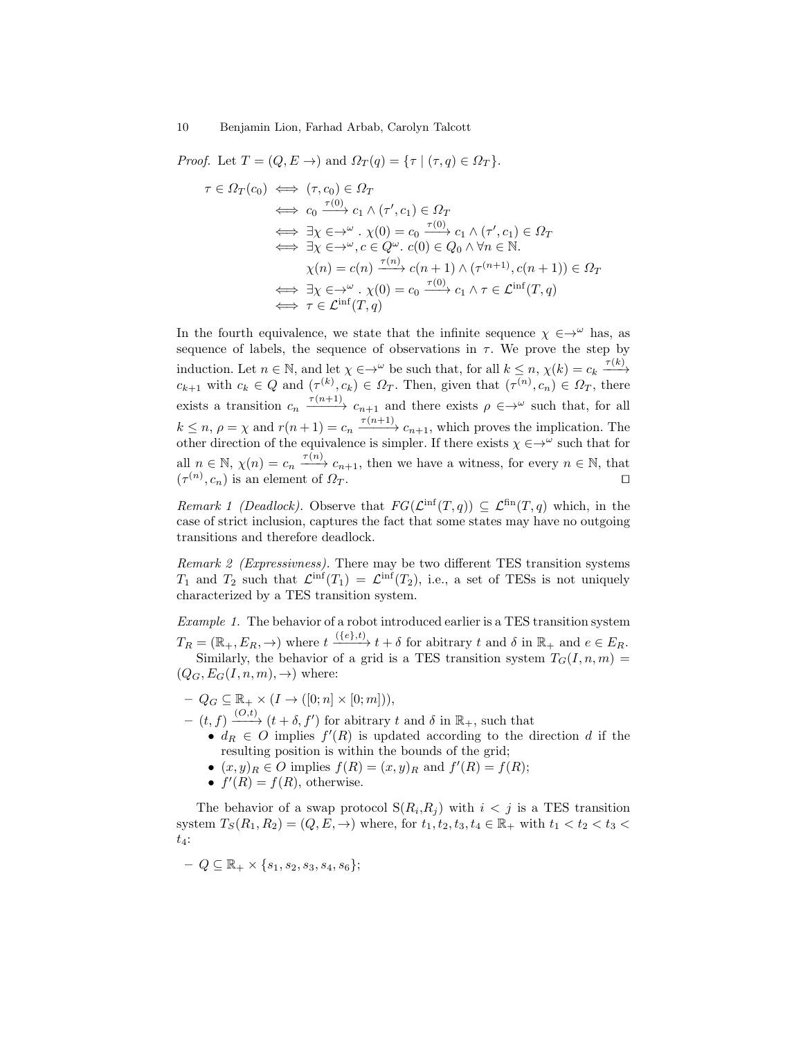*Proof.* Let  $T = (Q, E \rightarrow)$  and  $\Omega_T(q) = {\tau | (\tau, q) \in \Omega_T}.$ 

$$
\tau \in \Omega_T(c_0) \iff (\tau, c_0) \in \Omega_T
$$
  
\n
$$
\iff c_0 \xrightarrow{\tau(0)} c_1 \wedge (\tau', c_1) \in \Omega_T
$$
  
\n
$$
\iff \exists \chi \in \to^{\omega} \cdot \chi(0) = c_0 \xrightarrow{\tau(0)} c_1 \wedge (\tau', c_1) \in \Omega_T
$$
  
\n
$$
\iff \exists \chi \in \to^{\omega} \cdot c \in Q^{\omega} \cdot c(0) \in Q_0 \wedge \forall n \in \mathbb{N}.
$$
  
\n
$$
\chi(n) = c(n) \xrightarrow{\tau(n)} c(n+1) \wedge (\tau^{(n+1)}, c(n+1)) \in \Omega_T
$$
  
\n
$$
\iff \exists \chi \in \to^{\omega} \cdot \chi(0) = c_0 \xrightarrow{\tau(0)} c_1 \wedge \tau \in \mathcal{L}^{\text{inf}}(T, q)
$$
  
\n
$$
\iff \tau \in \mathcal{L}^{\text{inf}}(T, q)
$$

In the fourth equivalence, we state that the infinite sequence  $\chi \in \rightarrow^{\omega}$  has, as sequence of labels, the sequence of observations in  $\tau$ . We prove the step by induction. Let  $n \in \mathbb{N}$ , and let  $\chi \in \to^{\omega}$  be such that, for all  $k \leq n$ ,  $\chi(k) = c_k \xrightarrow{\tau(k)}$  $c_{k+1}$  with  $c_k \in Q$  and  $(\tau^{(k)}, c_k) \in \Omega_T$ . Then, given that  $(\tau^{(n)}, c_n) \in \Omega_T$ , there exists a transition  $c_n \xrightarrow{\tau(n+1)} c_{n+1}$  and there exists  $\rho \in \to^{\omega}$  such that, for all  $k \leq n, \rho = \chi$  and  $r(n+1) = c_n \xrightarrow{\tau(n+1)} c_{n+1}$ , which proves the implication. The other direction of the equivalence is simpler. If there exists  $\chi \in \rightarrow^{\omega}$  such that for all  $n \in \mathbb{N}$ ,  $\chi(n) = c_n \xrightarrow{\tau(n)} c_{n+1}$ , then we have a witness, for every  $n \in \mathbb{N}$ , that  $(\tau^{(n)}, c_n)$  is an element of  $\Omega_T$ . □

*Remark 1 (Deadlock).* Observe that  $FG(\mathcal{L}^{\text{inf}}(T,q)) \subseteq \mathcal{L}^{\text{fin}}(T,q)$  which, in the case of strict inclusion, captures the fact that some states may have no outgoing transitions and therefore deadlock.

*Remark 2 (Expressivness).* There may be two different TES transition systems  $T_1$  and  $T_2$  such that  $\mathcal{L}^{\text{inf}}(T_1) = \mathcal{L}^{\text{inf}}(T_2)$ , i.e., a set of TESs is not uniquely characterized by a TES transition system.

<span id="page-9-0"></span>*Example 1.* The behavior of a robot introduced earlier is a TES transition system  $T_R = (\mathbb{R}_+, E_R, \to)$  where  $t \xrightarrow{(\{e\}, t)} t + \delta$  for abitrary t and  $\delta$  in  $\mathbb{R}_+$  and  $e \in E_R$ . Similarly, the behavior of a grid is a TES transition system  $T_G(I, n, m)$  =  $(Q_G, E_G(I, n, m), \rightarrow)$  where:

 $-Q_G \subseteq \mathbb{R}_+ \times (I \to ([0;n] \times [0;m])),$ 

 $(t, f) \xrightarrow{(O,t)} (t + \delta, f')$  for abitrary t and  $\delta$  in  $\mathbb{R}_+$ , such that

- $d_R \in O$  implies  $f'(R)$  is updated according to the direction d if the resulting position is within the bounds of the grid;
- $(x, y)_R \in O$  implies  $f(R) = (x, y)_R$  and  $f'(R) = f(R)$ ;
- $f'(R) = f(R)$ , otherwise.

The behavior of a swap protocol  $S(R_i, R_j)$  with  $i < j$  is a TES transition system  $T_S(R_1, R_2) = (Q, E, \to)$  where, for  $t_1, t_2, t_3, t_4 \in \mathbb{R}_+$  with  $t_1 < t_2 < t_3 <$  $t_4$ :

$$
-Q \subseteq \mathbb{R}_+ \times \{s_1, s_2, s_3, s_4, s_6\};
$$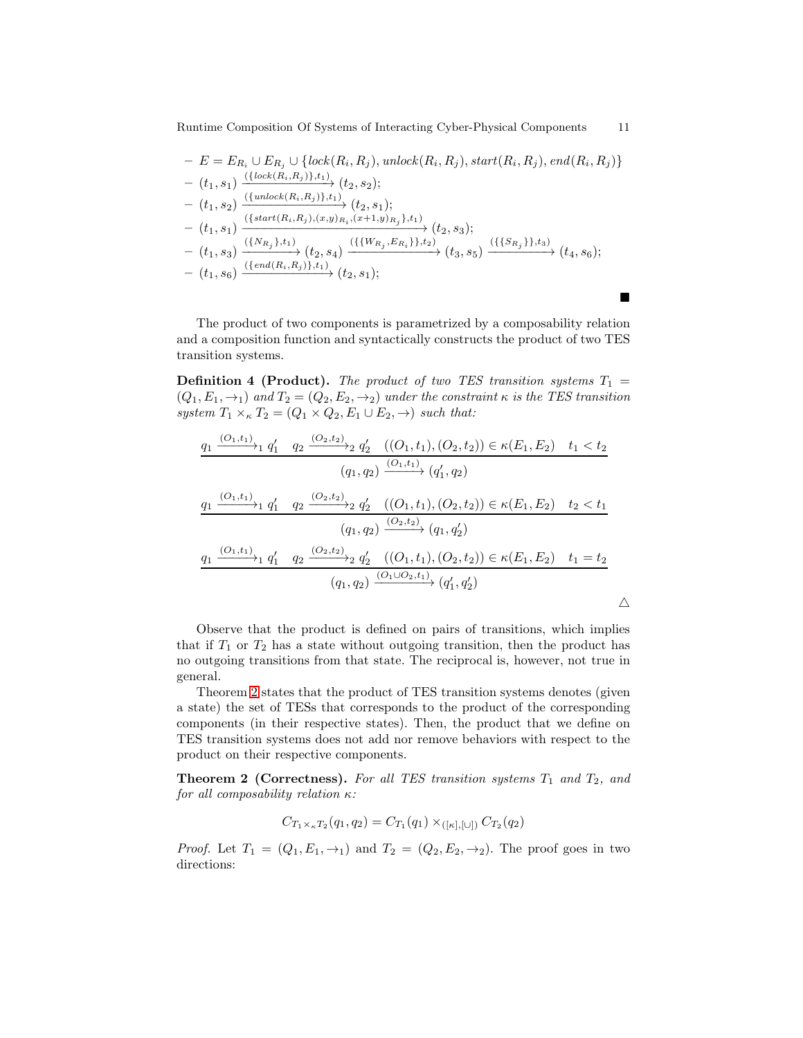$$
- E = E_{R_i} \cup E_{R_j} \cup \{lock(R_i, R_j), unlock(R_i, R_j), start(R_i, R_j), end(R_i, R_j)\} - (t_1, s_1) \xrightarrow{\left(\{lock(R_i, R_j)\}, t_1\right)} (t_2, s_2);
$$
  
- (t\_1, s\_2) \xrightarrow{\left(\{undock(R\_i, R\_j)\}, t\_1\right)} (t\_2, s\_1);  
- (t\_1, s\_1) \xrightarrow{\left(\{start(R\_i, R\_j), (x, y)R\_i, (x+1, y)R\_j\}, t\_1\right)} (t\_2, s\_3);  
- (t\_1, s\_3) \xrightarrow{\left(\{N\_{R\_j}\}, t\_1\right)} (t\_2, s\_4) \xrightarrow{\left(\{\{W\_{R\_j}, E\_{R\_i}\}\}, t\_2\right)} (t\_3, s\_5) \xrightarrow{\left(\{\{S\_{R\_j}\}\}, t\_3\right)} (t\_4, s\_6);  
- (t\_1, s\_6) \xrightarrow{\left(\{end(R\_i, R\_j)\}, t\_1\right)} (t\_2, s\_1);

The product of two components is parametrized by a composability relation and a composition function and syntactically constructs the product of two TES transition systems.

▆

**Definition 4 (Product).** *The product of two TES transition systems*  $T_1$  =  $(Q_1, E_1, \rightarrow_1)$  and  $T_2 = (Q_2, E_2, \rightarrow_2)$  under the constraint  $\kappa$  *is the TES transition system*  $T_1 \times_{\kappa} T_2 = (Q_1 \times Q_2, E_1 \cup E_2, \rightarrow)$  *such that:* 

$$
\frac{q_1 \xrightarrow{(O_1,t_1)} q'_1 \quad q_2 \xrightarrow{(O_2,t_2)} q'_2 \quad ((O_1,t_1),(O_2,t_2)) \in \kappa(E_1,E_2) \quad t_1 < t_2}{(q_1,q_2) \xrightarrow{(O_1,t_1)} (q'_1,q_2)}
$$
\n
$$
\frac{q_1 \xrightarrow{(O_1,t_1)} q'_1 \quad q_2 \xrightarrow{(O_2,t_2)} q'_2 \quad ((O_1,t_1),(O_2,t_2)) \in \kappa(E_1,E_2) \quad t_2 < t_1}{(q_1,q_2) \xrightarrow{(O_2,t_2)} (q_1,q'_2)}
$$
\n
$$
\frac{q_1 \xrightarrow{(O_1,t_1)} q'_1 \quad q_2 \xrightarrow{(O_2,t_2)} q'_2 \quad ((O_1,t_1),(O_2,t_2)) \in \kappa(E_1,E_2) \quad t_1 = t_2}{(q_1,q_2) \xrightarrow{(O_1 \cup O_2,t_1)} (q'_1,q'_2)}
$$
\n
$$
\triangle
$$

Observe that the product is defined on pairs of transitions, which implies that if  $T_1$  or  $T_2$  has a state without outgoing transition, then the product has no outgoing transitions from that state. The reciprocal is, however, not true in general.

Theorem [2](#page-10-0) states that the product of TES transition systems denotes (given a state) the set of TESs that corresponds to the product of the corresponding components (in their respective states). Then, the product that we define on TES transition systems does not add nor remove behaviors with respect to the product on their respective components.

Theorem 2 (Correctness). For all TES transition systems  $T_1$  and  $T_2$ , and *for all composability relation* κ*:*

<span id="page-10-0"></span>
$$
C_{T_1 \times_{\kappa} T_2}(q_1, q_2) = C_{T_1}(q_1) \times_{([\kappa],[\cup])} C_{T_2}(q_2)
$$

*Proof.* Let  $T_1 = (Q_1, E_1, \rightarrow_1)$  and  $T_2 = (Q_2, E_2, \rightarrow_2)$ . The proof goes in two directions: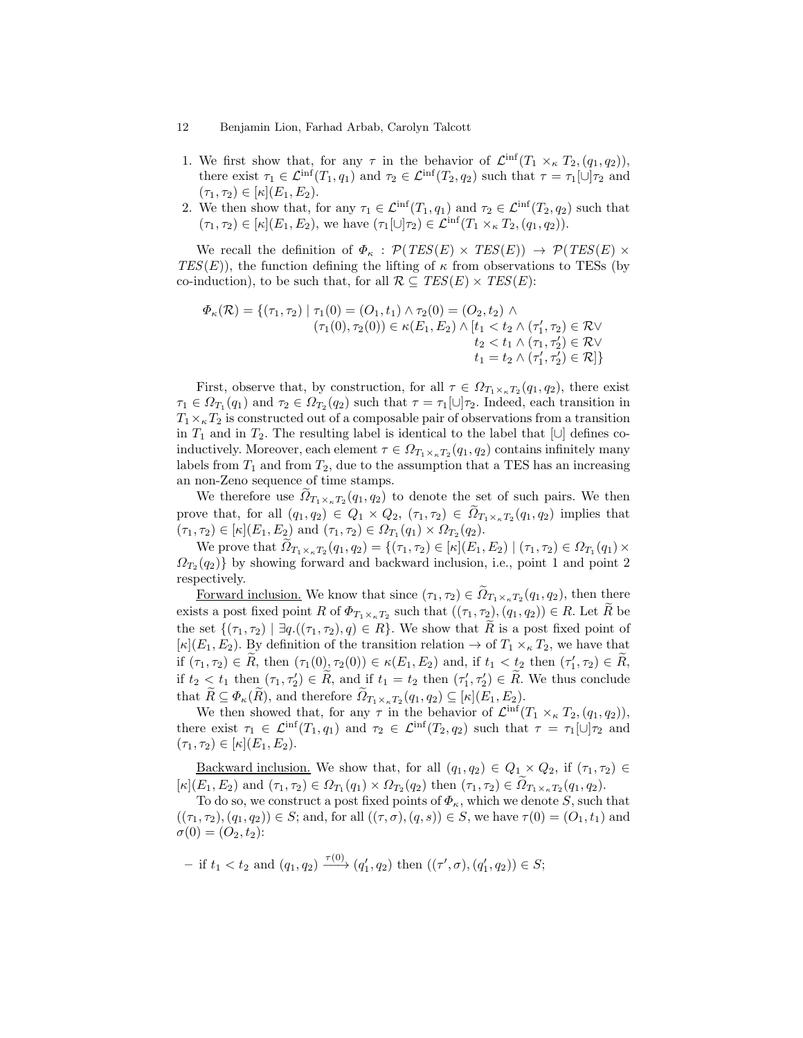- 1. We first show that, for any  $\tau$  in the behavior of  $\mathcal{L}^{\text{inf}}(T_1 \times_{\kappa} T_2, (q_1, q_2)),$ there exist  $\tau_1 \in \mathcal{L}^{\text{inf}}(T_1, q_1)$  and  $\tau_2 \in \mathcal{L}^{\text{inf}}(T_2, q_2)$  such that  $\tau = \tau_1[\cup] \tau_2$  and  $(\tau_1, \tau_2) \in [\kappa](E_1, E_2).$
- 2. We then show that, for any  $\tau_1 \in \mathcal{L}^{\text{inf}}(T_1, q_1)$  and  $\tau_2 \in \mathcal{L}^{\text{inf}}(T_2, q_2)$  such that  $(\tau_1, \tau_2) \in [\kappa](E_1, E_2)$ , we have  $(\tau_1[\cup] \tau_2) \in \mathcal{L}^{\text{inf}}(T_1 \times_{\kappa} T_2, (q_1, q_2)).$

We recall the definition of  $\Phi_{\kappa}$ :  $\mathcal{P}(TES(E) \times TES(E)) \rightarrow \mathcal{P}(TES(E) \times$  $TES(E)$ ), the function defining the lifting of  $\kappa$  from observations to TESs (by co-induction), to be such that, for all  $\mathcal{R} \subseteq \text{TES}(E) \times \text{TES}(E)$ :

$$
\Phi_{\kappa}(\mathcal{R}) = \{ (\tau_1, \tau_2) \mid \tau_1(0) = (O_1, t_1) \land \tau_2(0) = (O_2, t_2) \land \n(\tau_1(0), \tau_2(0)) \in \kappa(E_1, E_2) \land [t_1 < t_2 \land (\tau_1', \tau_2) \in \mathcal{R} \lor \nt_2 < t_1 \land (\tau_1, \tau_2') \in \mathcal{R} \lor \nt_1 = t_2 \land (\tau_1', \tau_2') \in \mathcal{R} ] \}
$$

First, observe that, by construction, for all  $\tau \in \Omega_{T_1 \times_{\kappa} T_2}(q_1, q_2)$ , there exist  $\tau_1 \in \Omega_{T_1}(q_1)$  and  $\tau_2 \in \Omega_{T_2}(q_2)$  such that  $\tau = \tau_1[\cup]\tau_2$ . Indeed, each transition in  $T_1\times_{\kappa}T_2$  is constructed out of a composable pair of observations from a transition in  $T_1$  and in  $T_2$ . The resulting label is identical to the label that  $[\cup]$  defines coinductively. Moreover, each element  $\tau \in \Omega_{T_1 \times_{\kappa} T_2}(q_1, q_2)$  contains infinitely many labels from  $T_1$  and from  $T_2$ , due to the assumption that a TES has an increasing an non-Zeno sequence of time stamps.

We therefore use  $\Omega_{T_1 \times_{\kappa} T_2}(q_1, q_2)$  to denote the set of such pairs. We then prove that, for all  $(q_1, q_2) \in Q_1 \times Q_2$ ,  $(\tau_1, \tau_2) \in \Omega_{T_1 \times_{\kappa} T_2}(q_1, q_2)$  implies that  $(\tau_1, \tau_2) \in [\kappa](E_1, E_2)$  and  $(\tau_1, \tau_2) \in \Omega_{T_1}(q_1) \times \Omega_{T_2}(q_2)$ .

We prove that  $\Omega_{T_1 \times_{\kappa} T_2}(q_1, q_2) = \{(\tau_1, \tau_2) \in [\kappa](E_1, E_2) \mid (\tau_1, \tau_2) \in \Omega_{T_1}(q_1) \times$  $\Omega_{T_2}(q_2)$  by showing forward and backward inclusion, i.e., point 1 and point 2 respectively.

Forward inclusion. We know that since  $(\tau_1, \tau_2) \in \Omega_{T_1 \times_{\kappa} T_2}(q_1, q_2)$ , then there exists a post fixed point R of  $\Phi_{T_1 \times_{\kappa} T_2}$  such that  $((\tau_1, \tau_2), (q_1, q_2)) \in R$ . Let R be the set  $\{(\tau_1, \tau_2) \mid \exists q. ((\tau_1, \tau_2), q) \in R\}$ . We show that  $\tilde{R}$  is a post fixed point of  $[\kappa](E_1, E_2)$ . By definition of the transition relation  $\rightarrow$  of  $T_1 \times_{\kappa} T_2$ , we have that if  $(\tau_1, \tau_2) \in \hat{R}$ , then  $(\tau_1(0), \tau_2(0)) \in \kappa(E_1, E_2)$  and, if  $t_1 < t_2$  then  $(\tau'_1, \tau_2) \in \hat{R}$ , if  $t_2 \le t_1$  then  $(\tau_1, \tau_2') \in \tilde{R}$ , and if  $t_1 = t_2$  then  $(\tau_1', \tau_2') \in \tilde{R}$ . We thus conclude that  $R \subseteq \Phi_{\kappa}(R)$ , and therefore  $\Omega_{T_1 \times_{\kappa} T_2}(q_1, q_2) \subseteq [\kappa](E_1, E_2)$ .

We then showed that, for any  $\tau$  in the behavior of  $\mathcal{L}^{\text{inf}}(T_1 \times_{\kappa} T_2, (q_1, q_2)),$ there exist  $\tau_1 \in \mathcal{L}^{\text{inf}}(T_1, q_1)$  and  $\tau_2 \in \mathcal{L}^{\text{inf}}(T_2, q_2)$  such that  $\tau = \tau_1[\cup] \tau_2$  and  $(\tau_1, \tau_2) \in [\kappa](E_1, E_2).$ 

<u>Backward inclusion.</u> We show that, for all  $(q_1, q_2) \in Q_1 \times Q_2$ , if  $(\tau_1, \tau_2) \in$  $[\kappa](E_1, E_2)$  and  $(\tau_1, \tau_2) \in \Omega_{T_1}(q_1) \times \Omega_{T_2}(q_2)$  then  $(\tau_1, \tau_2) \in \Omega_{T_1 \times_{\kappa} T_2}(q_1, q_2)$ .

To do so, we construct a post fixed points of  $\Phi_{\kappa}$ , which we denote S, such that  $((\tau_1, \tau_2), (q_1, q_2)) \in S$ ; and, for all  $((\tau, \sigma), (q, s)) \in S$ , we have  $\tau(0) = (O_1, t_1)$  and  $\sigma(0) = (O_2, t_2)$ :

- if 
$$
t_1 < t_2
$$
 and  $(q_1, q_2) \xrightarrow{\tau(0)} (q'_1, q_2)$  then  $((\tau', \sigma), (q'_1, q_2)) \in S;$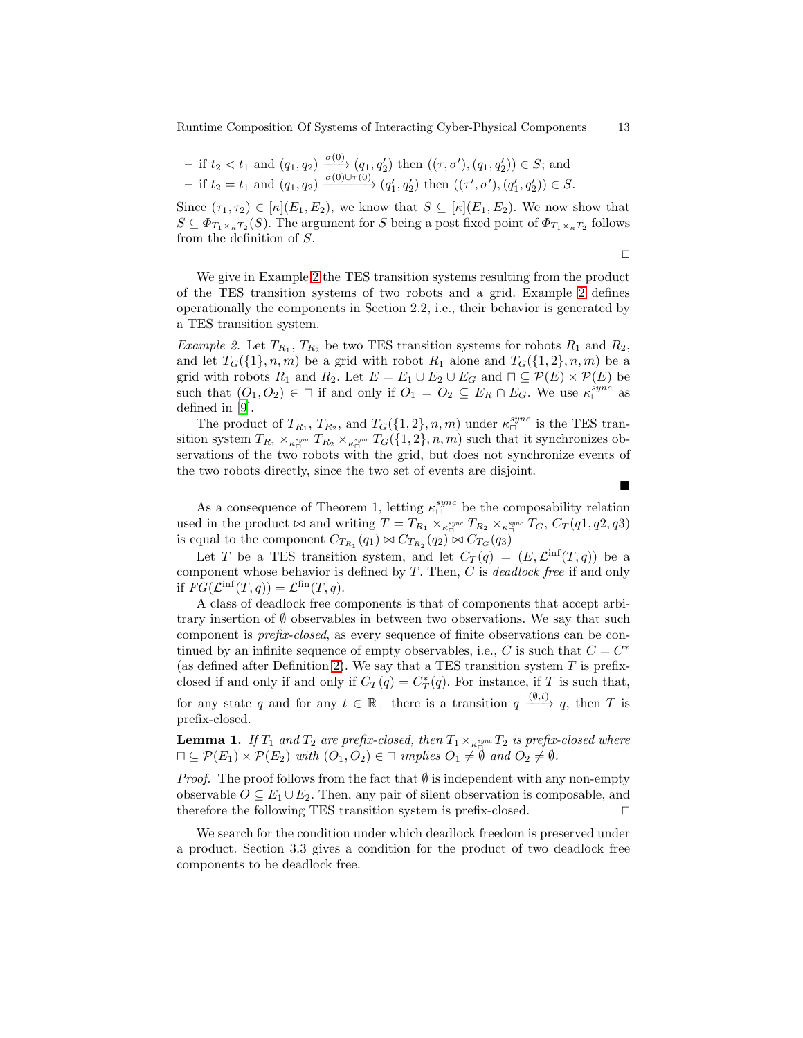- if 
$$
t_2 < t_1
$$
 and  $(q_1, q_2) \xrightarrow{\sigma(0)} (q_1, q'_2)$  then  $((\tau, \sigma'), (q_1, q'_2)) \in S$ ; and  
- if  $t_2 = t_1$  and  $(q_1, q_2) \xrightarrow{\sigma(0) \cup \tau(0)} (q'_1, q'_2)$  then  $((\tau', \sigma'), (q'_1, q'_2)) \in S$ .

Since  $(\tau_1, \tau_2) \in [\kappa](E_1, E_2)$ , we know that  $S \subseteq [\kappa](E_1, E_2)$ . We now show that  $S \subseteq \Phi_{T_1 \times_{\kappa} T_2}(S)$ . The argument for S being a post fixed point of  $\Phi_{T_1 \times_{\kappa} T_2}$  follows from the definition of S.

$$
\Box
$$

We give in Example [2](#page-12-0) the TES transition systems resulting from the product of the TES transition systems of two robots and a grid. Example [2](#page-12-0) defines operationally the components in Section 2.2, i.e., their behavior is generated by a TES transition system.

<span id="page-12-0"></span>*Example 2.* Let  $T_{R_1}, T_{R_2}$  be two TES transition systems for robots  $R_1$  and  $R_2$ , and let  $T_G({1}, n, m)$  be a grid with robot  $R_1$  alone and  $T_G({1}, 2), n, m$  be a grid with robots  $R_1$  and  $R_2$ . Let  $E = E_1 \cup E_2 \cup E_G$  and  $\Box \subseteq \mathcal{P}(E) \times \mathcal{P}(E)$  be such that  $(O_1, O_2) \in \square$  if and only if  $O_1 = O_2 \subseteq E_R \cap E_G$ . We use  $\kappa_{\square}^{sync}$  as defined in [9].

The product of  $T_{R_1}, T_{R_2}$ , and  $T_G({1, 2}, n, m)$  under  $\kappa_{\square}^{sync}$  is the TES transition system  $T_{R_1} \times_{\kappa_{\square}^{sync}} T_{R_2} \times_{\kappa_{\square}^{sync}} T_G(\{1,2\}, n, m)$  such that it synchronizes observations of the two robots with the grid, but does not synchronize events of the two robots directly, since the two set of events are disjoint.

As a consequence of Theorem 1, letting  $\kappa_{\square}^{sync}$  be the composability relation used in the product  $\bowtie$  and writing  $T = T_{R_1} \times_{\kappa_{\square}^{sync}} T_{R_2} \times_{\kappa_{\square}^{sync}} T_G$ ,  $C_T(q_1, q_2, q_3)$ is equal to the component  $C_{T_{R_1}}(q_1) \bowtie C_{T_{R_2}}(q_2) \bowtie C_{T_G}(q_3)$ 

Let T be a TES transition system, and let  $C_T(q) = (E, \mathcal{L}^{\text{inf}}(T,q))$  be a component whose behavior is defined by T . Then, C is *deadlock free* if and only if  $FG(\mathcal{L}^{\text{inf}}(T,q)) = \mathcal{L}^{\text{fin}}(T,q).$ 

A class of deadlock free components is that of components that accept arbitrary insertion of  $\emptyset$  observables in between two observations. We say that such component is *prefix-closed*, as every sequence of finite observations can be continued by an infinite sequence of empty observables, i.e.,  $C$  is such that  $C = C^*$ (as defined after Definition [2\)](#page-2-2). We say that a TES transition system  $T$  is prefixclosed if and only if  $C_T(q) = C_T^*(q)$ . For instance, if T is such that, for any state q and for any  $t \in \mathbb{R}_+$  there is a transition  $q \xrightarrow{(0,t)} q$ , then T is prefix-closed.

<span id="page-12-1"></span>**Lemma 1.** If  $T_1$  and  $T_2$  are prefix-closed, then  $T_1 \times_{\kappa_{\square}^{sync}} T_2$  is prefix-closed where  $\Pi \subseteq \mathcal{P}(E_1) \times \mathcal{P}(E_2)$  *with*  $(O_1, O_2) \in \Pi$  *implies*  $O_1 \neq \emptyset$  *and*  $O_2 \neq \emptyset$ *.* 

*Proof.* The proof follows from the fact that  $\emptyset$  is independent with any non-empty observable  $O \subseteq E_1 \cup E_2$ . Then, any pair of silent observation is composable, and therefore the following TES transition system is prefix-closed. □

We search for the condition under which deadlock freedom is preserved under a product. Section 3.3 gives a condition for the product of two deadlock free components to be deadlock free.

■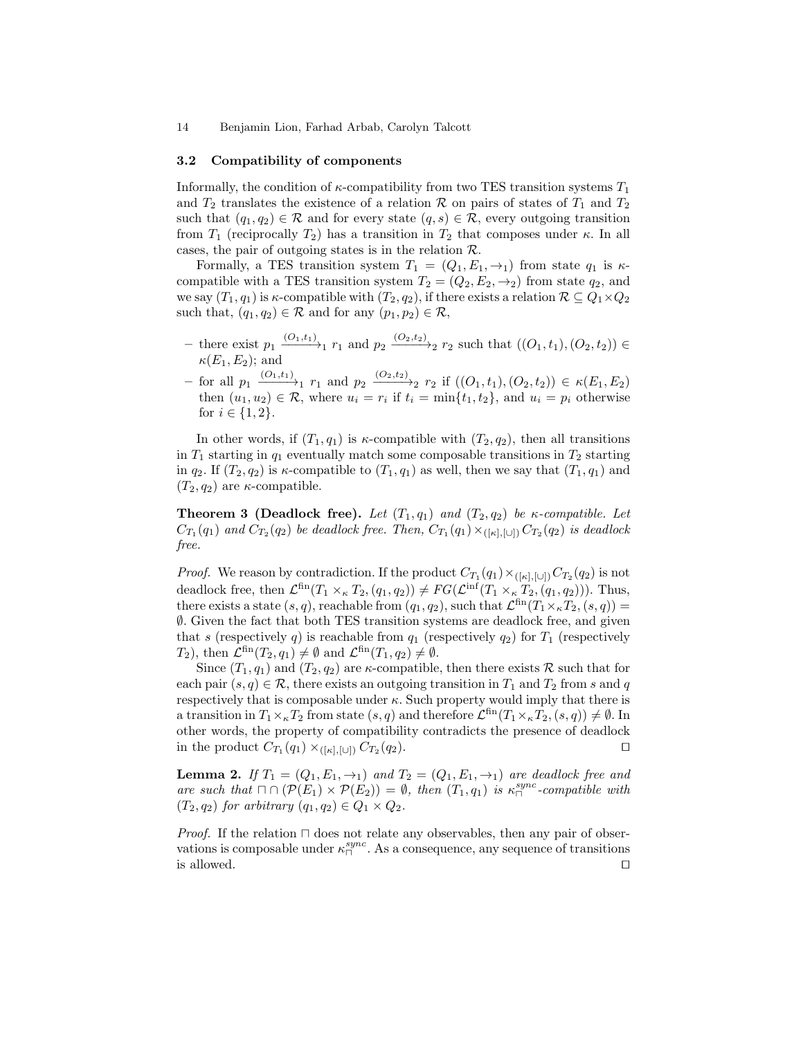#### 3.2 Compatibility of components

Informally, the condition of  $\kappa$ -compatibility from two TES transition systems  $T_1$ and  $T_2$  translates the existence of a relation R on pairs of states of  $T_1$  and  $T_2$ such that  $(q_1, q_2) \in \mathcal{R}$  and for every state  $(q, s) \in \mathcal{R}$ , every outgoing transition from  $T_1$  (reciprocally  $T_2$ ) has a transition in  $T_2$  that composes under  $\kappa$ . In all cases, the pair of outgoing states is in the relation  $\mathcal{R}$ .

Formally, a TES transition system  $T_1 = (Q_1, E_1, \rightarrow_1)$  from state  $q_1$  is  $\kappa$ compatible with a TES transition system  $T_2 = (Q_2, E_2, \rightarrow_2)$  from state  $q_2$ , and we say  $(T_1, q_1)$  is  $\kappa$ -compatible with  $(T_2, q_2)$ , if there exists a relation  $\mathcal{R} \subseteq Q_1 \times Q_2$ such that,  $(q_1, q_2) \in \mathcal{R}$  and for any  $(p_1, p_2) \in \mathcal{R}$ ,

- − there exist  $p_1 \xrightarrow{(O_1,t_1)} r_1$  and  $p_2 \xrightarrow{(O_2,t_2)} r_2$  such that  $((O_1,t_1),(O_2,t_2)) \in$  $\kappa(E_1, E_2)$ ; and
- $-$  for all  $p_1 \xrightarrow{(O_1,t_1)} r_1$  and  $p_2 \xrightarrow{(O_2,t_2)} r_2$  if  $((O_1,t_1),(O_2,t_2)) \in \kappa(E_1,E_2)$ then  $(u_1, u_2) \in \mathcal{R}$ , where  $u_i = r_i$  if  $t_i = \min\{t_1, t_2\}$ , and  $u_i = p_i$  otherwise for  $i \in \{1, 2\}$ .

In other words, if  $(T_1, q_1)$  is  $\kappa$ -compatible with  $(T_2, q_2)$ , then all transitions in  $T_1$  starting in  $q_1$  eventually match some composable transitions in  $T_2$  starting in  $q_2$ . If  $(T_2, q_2)$  is  $\kappa$ -compatible to  $(T_1, q_1)$  as well, then we say that  $(T_1, q_1)$  and  $(T_2, q_2)$  are  $\kappa$ -compatible.

**Theorem 3 (Deadlock free).** Let  $(T_1, q_1)$  and  $(T_2, q_2)$  be *κ*-compatible. Let  $C_{T_1}(q_1)$  and  $C_{T_2}(q_2)$  be deadlock free. Then,  $C_{T_1}(q_1) \times_{([{\kappa}], [{\cup}])} C_{T_2}(q_2)$  is deadlock *free.*

*Proof.* We reason by contradiction. If the product  $C_{T_1}(q_1) \times_{([{\kappa}], [{\cup}])} C_{T_2}(q_2)$  is not deadlock free, then  $\mathcal{L}^{\text{fin}}(T_1 \times_{\kappa} T_2, (q_1, q_2)) \neq FG(\mathcal{L}^{\text{inf}}(T_1 \times_{\kappa} T_2, (q_1, q_2)))$ . Thus, there exists a state  $(s, q)$ , reachable from  $(q_1, q_2)$ , such that  $\mathcal{L}^{\text{fin}}(T_1\times_{\kappa}T_2, (s, q)) =$ ∅. Given the fact that both TES transition systems are deadlock free, and given that s (respectively q) is reachable from  $q_1$  (respectively  $q_2$ ) for  $T_1$  (respectively  $T_2$ ), then  $\mathcal{L}^{\text{fin}}(T_2,q_1) \neq \emptyset$  and  $\mathcal{L}^{\text{fin}}(T_1,q_2) \neq \emptyset$ .

Since  $(T_1, q_1)$  and  $(T_2, q_2)$  are  $\kappa$ -compatible, then there exists R such that for each pair  $(s, q) \in \mathcal{R}$ , there exists an outgoing transition in  $T_1$  and  $T_2$  from s and q respectively that is composable under  $\kappa$ . Such property would imply that there is a transition in  $T_1\times_{\kappa}T_2$  from state  $(s,q)$  and therefore  $\mathcal{L}^{\text{fin}}(T_1\times_{\kappa}T_2,(s,q))\neq\emptyset$ . In other words, the property of compatibility contradicts the presence of deadlock in the product  $C_{T_1}(q_1) \times_{([\kappa],[\cup])} C_{T_2}$  $(q_2)$ .  $\Box$ 

**Lemma 2.** If  $T_1 = (Q_1, E_1, \rightarrow_1)$  and  $T_2 = (Q_1, E_1, \rightarrow_1)$  are deadlock free and *are such that*  $\Box \cap (\mathcal{P}(E_1) \times \mathcal{P}(E_2)) = \emptyset$ , then  $(T_1, q_1)$  *is*  $\kappa_{\Box}^{sync}$ -compatible with  $(T_2, q_2)$  *for arbitrary*  $(q_1, q_2) \in Q_1 \times Q_2$ *.* 

*Proof.* If the relation  $\Box$  does not relate any observables, then any pair of observations is composable under  $\kappa_{\Box}^{sync}$ . As a consequence, any sequence of transitions is allowed. ⊓⊔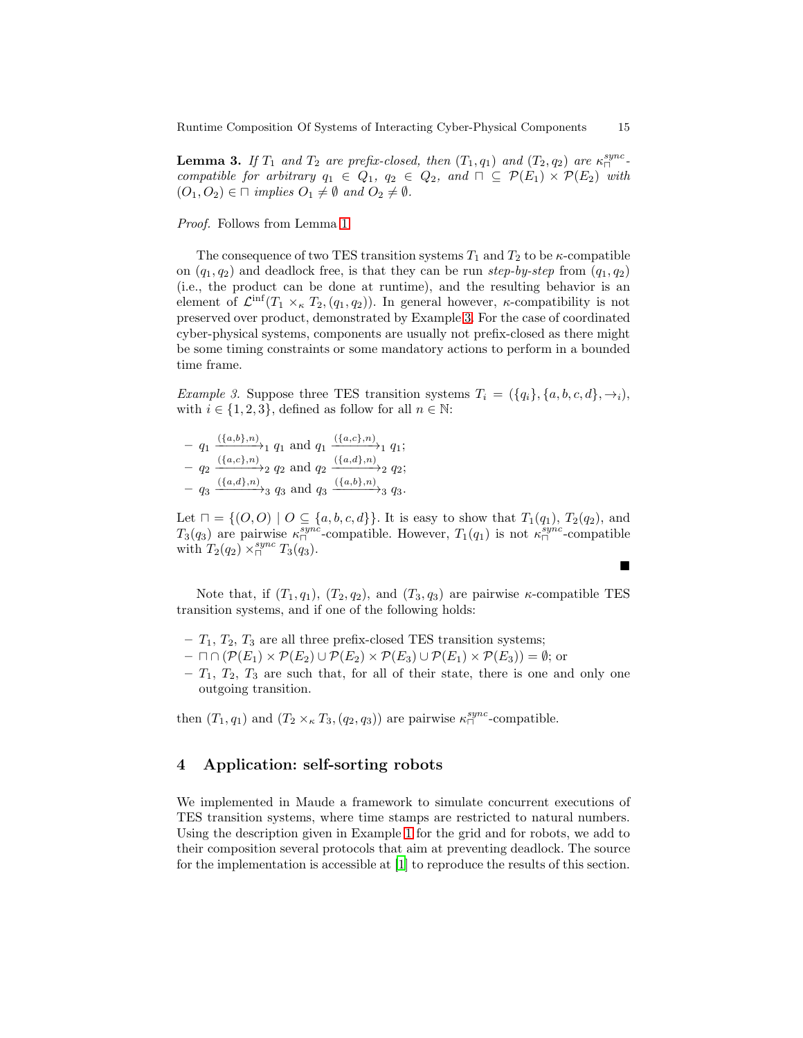**Lemma 3.** If  $T_1$  and  $T_2$  are prefix-closed, then  $(T_1, q_1)$  and  $(T_2, q_2)$  are  $\kappa_{\square}^{sync}$ . *compatible for arbitrary*  $q_1 \in Q_1$ ,  $q_2 \in Q_2$ , and  $\Box \subseteq \mathcal{P}(E_1) \times \mathcal{P}(E_2)$  *with*  $(O_1, O_2) \in \square$  *implies*  $O_1 \neq \emptyset$  *and*  $O_2 \neq \emptyset$ *.* 

*Proof.* Follows from Lemma [1.](#page-12-1)

The consequence of two TES transition systems  $T_1$  and  $T_2$  to be  $\kappa$ -compatible on  $(q_1, q_2)$  and deadlock free, is that they can be run *step-by-step* from  $(q_1, q_2)$ (i.e., the product can be done at runtime), and the resulting behavior is an element of  $\mathcal{L}^{\text{inf}}(T_1 \times_{\kappa} T_2, (q_1, q_2))$ . In general however,  $\kappa$ -compatibility is not preserved over product, demonstrated by Example [3.](#page-14-0) For the case of coordinated cyber-physical systems, components are usually not prefix-closed as there might be some timing constraints or some mandatory actions to perform in a bounded time frame.

<span id="page-14-0"></span>*Example 3.* Suppose three TES transition systems  $T_i = (\{q_i\}, \{a, b, c, d\}, \rightarrow_i),$ with  $i \in \{1, 2, 3\}$ , defined as follow for all  $n \in \mathbb{N}$ :

$$
- q_1 \xrightarrow{(\{a,b\},n)} q_1 \text{ and } q_1 \xrightarrow{(\{a,c\},n)} q_1;
$$
  
\n
$$
- q_2 \xrightarrow{(\{a,c\},n)} q_2 \text{ and } q_2 \xrightarrow{(\{a,d\},n)} q_2;
$$
  
\n
$$
- q_3 \xrightarrow{(\{a,d\},n)} q_3 \text{ and } q_3 \xrightarrow{(\{a,b\},n)} q_3.
$$

Let  $\sqcap = \{ (O, O) \mid O \subseteq \{a, b, c, d\} \}$ . It is easy to show that  $T_1(q_1), T_2(q_2),$  and  $T_3(q_3)$  are pairwise  $\kappa_{\square}^{sync}$ -compatible. However,  $T_1(q_1)$  is not  $\kappa_{\square}^{sync}$ -compatible with  $T_2(q_2) \times_{\square}^{sync} T_3(q_3)$ .

Note that, if  $(T_1, q_1)$ ,  $(T_2, q_2)$ , and  $(T_3, q_3)$  are pairwise  $\kappa$ -compatible TES transition systems, and if one of the following holds:

- $T_1, T_2, T_3$  are all three prefix-closed TES transition systems;
- $\sqcap \cap (\mathcal{P}(E_1) \times \mathcal{P}(E_2) \cup \mathcal{P}(E_2) \times \mathcal{P}(E_3) \cup \mathcal{P}(E_1) \times \mathcal{P}(E_3)) = \emptyset$ ; or
- $T_1, T_2, T_3$  are such that, for all of their state, there is one and only one outgoing transition.

then  $(T_1, q_1)$  and  $(T_2 \times_{\kappa} T_3, (q_2, q_3))$  are pairwise  $\kappa_{\square}^{sync}$ -compatible.

# 4 Application: self-sorting robots

We implemented in Maude a framework to simulate concurrent executions of TES transition systems, where time stamps are restricted to natural numbers. Using the description given in Example [1](#page-9-0) for the grid and for robots, we add to their composition several protocols that aim at preventing deadlock. The source for the implementation is accessible at [\[1\]](#page-18-0) to reproduce the results of this section.

■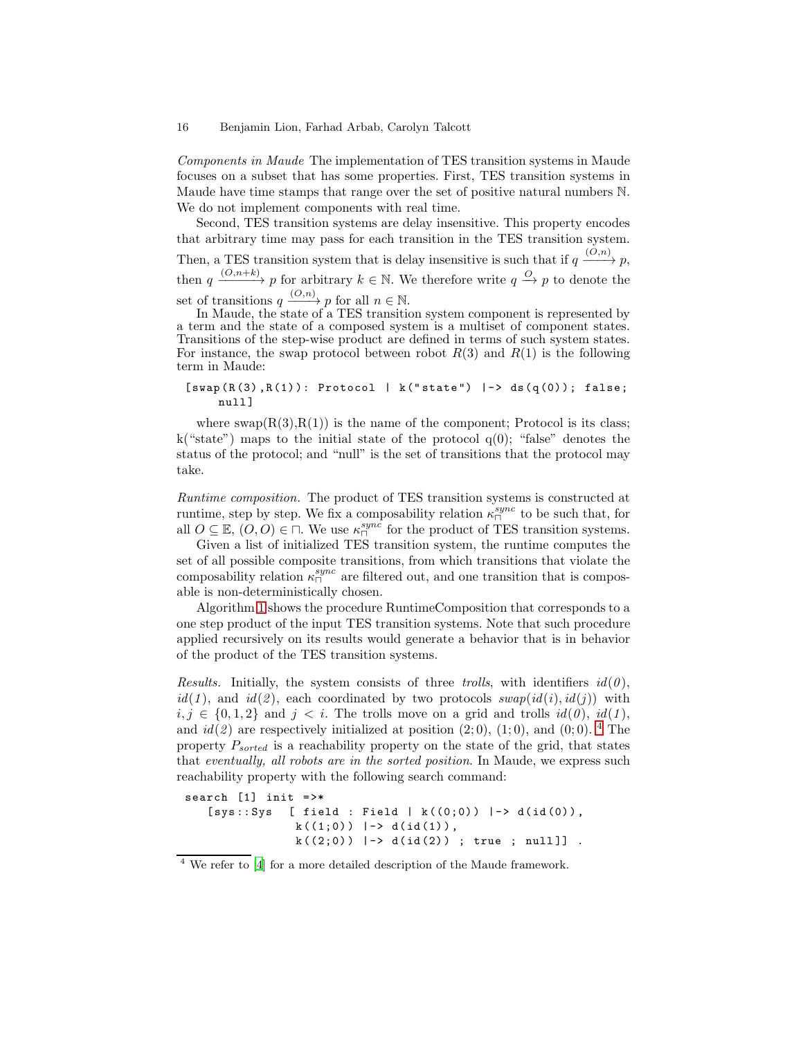*Components in Maude* The implementation of TES transition systems in Maude focuses on a subset that has some properties. First, TES transition systems in Maude have time stamps that range over the set of positive natural numbers N. We do not implement components with real time.

Second, TES transition systems are delay insensitive. This property encodes that arbitrary time may pass for each transition in the TES transition system. Then, a TES transition system that is delay insensitive is such that if  $q \xrightarrow{(O,n)} p$ , then  $q \xrightarrow{(O,n+k)} p$  for arbitrary  $k \in \mathbb{N}$ . We therefore write  $q \xrightarrow{O} p$  to denote the set of transitions  $q \xrightarrow{(O,n)} p$  for all  $n \in \mathbb{N}$ .

In Maude, the state of a TES transition system component is represented by a term and the state of a composed system is a multiset of component states. Transitions of the step-wise product are defined in terms of such system states. For instance, the swap protocol between robot  $R(3)$  and  $R(1)$  is the following term in Maude:

### $[swap(R(3),R(1)): Protocol | k("state") |-> ds(q(0)); false;$ null<sup>1</sup>

where  $swap(R(3),R(1))$  is the name of the component; Protocol is its class; k("state") maps to the initial state of the protocol  $q(0)$ ; "false" denotes the status of the protocol; and "null" is the set of transitions that the protocol may take.

*Runtime composition.* The product of TES transition systems is constructed at runtime, step by step. We fix a composability relation  $\kappa_{\Box}^{sync}$  to be such that, for all  $O \subseteq \mathbb{E}$ ,  $(O, O) \in \square$ . We use  $\kappa_{\square}^{sync}$  for the product of TES transition systems.

Given a list of initialized TES transition system, the runtime computes the set of all possible composite transitions, from which transitions that violate the composability relation  $\kappa_{\square}^{sync}$  are filtered out, and one transition that is composable is non-deterministically chosen.

Algorithm [1](#page-16-0) shows the procedure RuntimeComposition that corresponds to a one step product of the input TES transition systems. Note that such procedure applied recursively on its results would generate a behavior that is in behavior of the product of the TES transition systems.

*Results.* Initially, the system consists of three *trolls*, with identifiers  $id(0)$ ,  $id(1)$ , and  $id(2)$ , each coordinated by two protocols  $swap(id(i), id(j))$  with *i*, *j* ∈ {0, 1, 2} and *j* < *i*. The trolls move on a grid and trolls *id*(0), *id*(1), and  $id(2)$  are respectively initialized at position  $(2,0)$ ,  $(1,0)$ , and  $(0,0)$ . <sup>[4](#page-15-0)</sup> The property  $P_{sorted}$  is a reachability property on the state of the grid, that states that *eventually, all robots are in the sorted position*. In Maude, we express such reachability property with the following search command:

```
search [1] init \Rightarrow*
   [sys::Sys [ field : Field | k((0;0)) |-> d(id(0)),
                 k((1;0)) |-> d(id(1)),
                 k((2,0)) \rightarrow d(id(2)) ; true ; null]].
```
<span id="page-15-0"></span><sup>4</sup> We refer to [\[4](#page-18-1)] for a more detailed description of the Maude framework.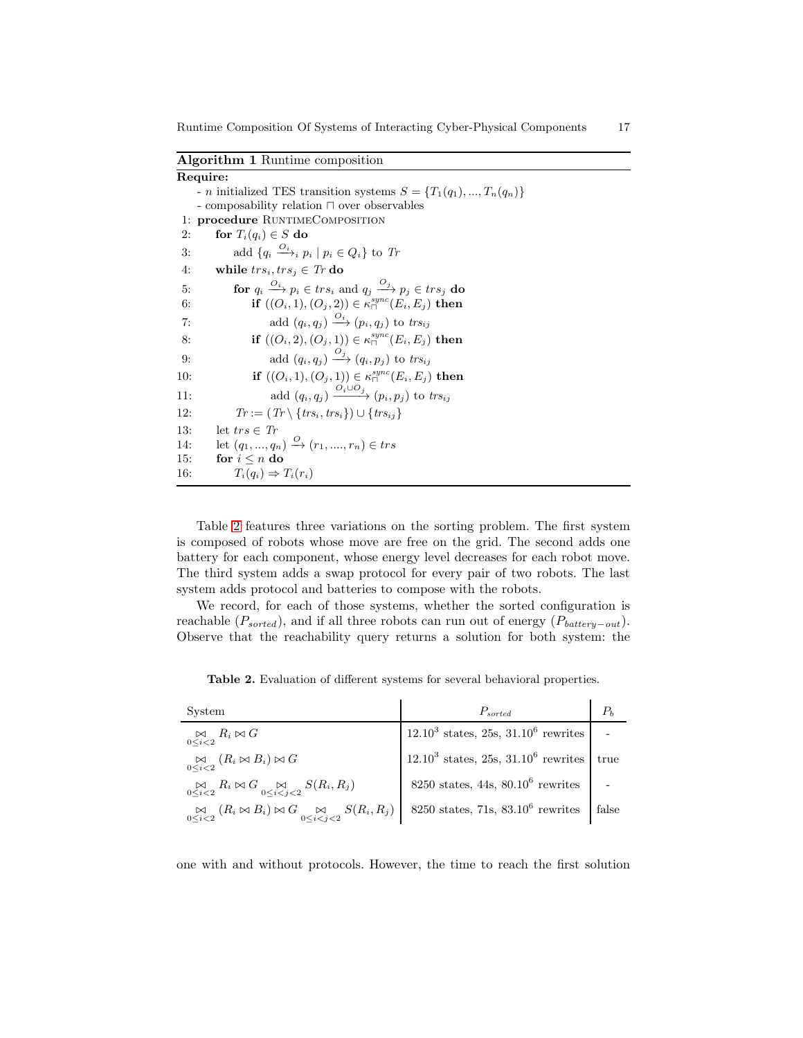<span id="page-16-0"></span>Algorithm 1 Runtime composition

|     | Require:                                                                                             |
|-----|------------------------------------------------------------------------------------------------------|
|     | - <i>n</i> initialized TES transition systems $S = \{T_1(q_1),,T_n(q_n)\}\$                          |
|     | - composability relation $\sqcap$ over observables                                                   |
| 1:  | procedure RUNTIMECOMPOSITION                                                                         |
| 2:  | for $T_i(q_i) \in S$ do                                                                              |
| 3:  | add $\{q_i \stackrel{O_i}{\longrightarrow}_i p_i \mid p_i \in Q_i\}$ to Tr                           |
| 4:  | while $trs_i, trs_j \in Tr$ do                                                                       |
| 5:  | <b>for</b> $q_i \xrightarrow{O_i} p_i \in trs_i$ and $q_i \xrightarrow{O_j} p_i \in trs_j$ <b>do</b> |
| 6:  | if $((O_i, 1), (O_i, 2)) \in \kappa_{\square}^{sync}(E_i, E_i)$ then                                 |
| 7:  | add $(q_i, q_i) \xrightarrow{O_i} (p_i, q_i)$ to trs <sub>ij</sub>                                   |
| 8:  | if $((O_i, 2), (O_i, 1)) \in \kappa_{\square}^{sync}(E_i, E_i)$ then                                 |
| 9:  | add $(q_i, q_j) \xrightarrow{O_j} (q_i, p_j)$ to trs <sub>ij</sub>                                   |
| 10: | if $((O_i, 1), (O_i, 1)) \in \kappa_{\square}^{sync}(E_i, E_i)$ then                                 |
| 11: | add $(q_i, q_i) \xrightarrow{O_i \cup O_j} (p_i, p_i)$ to trs <sub>ij</sub>                          |
| 12: | $Tr := (Tr \setminus \{ trs_i, trs_i \}) \cup \{ trs_{ij} \}$                                        |
| 13: | let $trs\in Tr$                                                                                      |
| 14: | let $(q_1, , q_n) \stackrel{O}{\rightarrow} (r_1, , r_n) \in trs$                                    |
| 15: | for $i \leq n$ do                                                                                    |
| 16: | $T_i(q_i) \Rightarrow T_i(r_i)$                                                                      |

Table [2](#page-16-1) features three variations on the sorting problem. The first system is composed of robots whose move are free on the grid. The second adds one battery for each component, whose energy level decreases for each robot move. The third system adds a swap protocol for every pair of two robots. The last system adds protocol and batteries to compose with the robots.

We record, for each of those systems, whether the sorted configuration is reachable  $(P_{sorted})$ , and if all three robots can run out of energy  $(P_{batteru-out})$ . Observe that the reachability query returns a solution for both system: the

<span id="page-16-1"></span>Table 2. Evaluation of different systems for several behavioral properties.

| System                                                                                                                                                                   | $P_{sorted}$                                       | $P_{h}$ |
|--------------------------------------------------------------------------------------------------------------------------------------------------------------------------|----------------------------------------------------|---------|
| $\bigotimes_{0 \leq i \leq 2} R_i \bowtie G$                                                                                                                             | $12.10^3$ states, 25s, 31.10 <sup>6</sup> rewrites |         |
| $\mathop{\boxtimes}\limits_{0\le i\le 2}\left(R_i\bowtie B_i\right)\bowtie G$                                                                                            | $12.10^3$ states, 25s, 31.10 <sup>6</sup> rewrites | true    |
| $\bigotimes_{0 \leq i \leq 2} R_i \bowtie G \bigotimes_{0 \leq i \leq j \leq 2} S(R_i, R_j)$                                                                             | $8250$ states, $44s$ , $80.10^6$ rewrites          |         |
| $\bigotimes_{0 \leq i \leq 2} (R_i \bowtie B_i) \bowtie G \bigotimes_{0 \leq i \leq i \leq 2} S(R_i, R_j) \bigotimes 8250 \text{ states}, 71s, 83.10^6 \text{ rewrites}$ |                                                    | false   |

one with and without protocols. However, the time to reach the first solution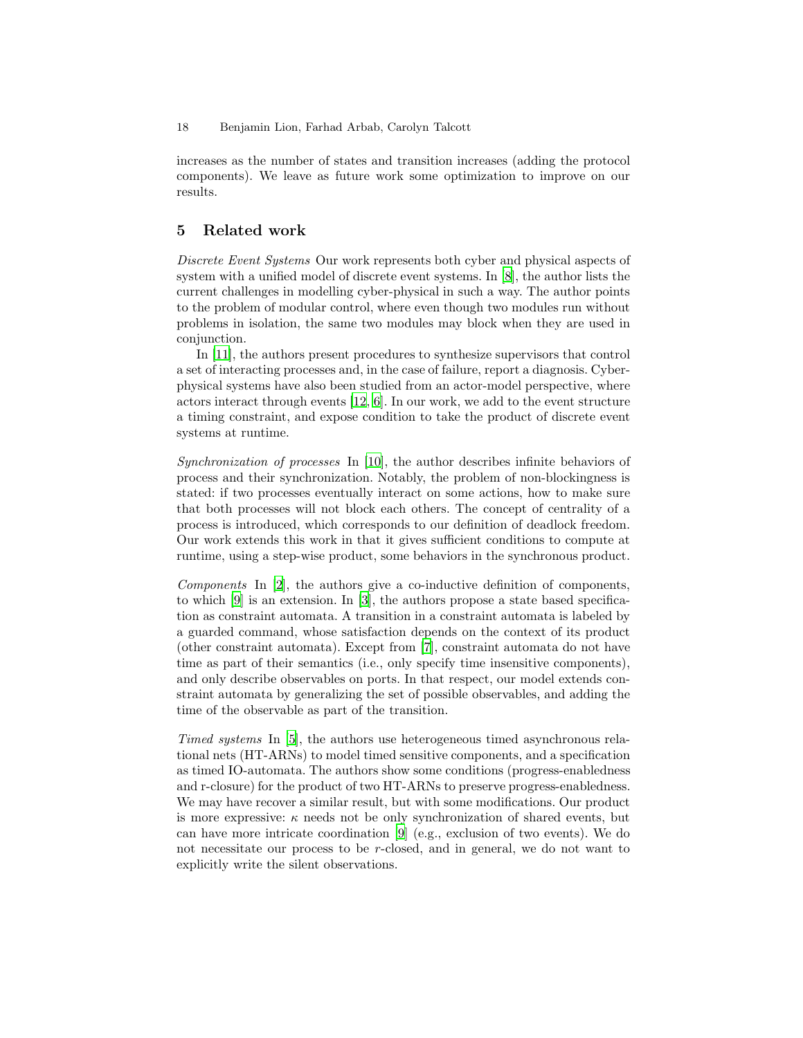increases as the number of states and transition increases (adding the protocol components). We leave as future work some optimization to improve on our results.

# 5 Related work

*Discrete Event Systems* Our work represents both cyber and physical aspects of system with a unified model of discrete event systems. In [8], the author lists the current challenges in modelling cyber-physical in such a way. The author points to the problem of modular control, where even though two modules run without problems in isolation, the same two modules may block when they are used in conjunction.

In [11], the authors present procedures to synthesize supervisors that control a set of interacting processes and, in the case of failure, report a diagnosis. Cyberphysical systems have also been studied from an actor-model perspective, where actors interact through events [\[12,](#page-19-0) 6]. In our work, we add to the event structure a timing constraint, and expose condition to take the product of discrete event systems at runtime.

*Synchronization of processes* In [\[10\]](#page-19-1), the author describes infinite behaviors of process and their synchronization. Notably, the problem of non-blockingness is stated: if two processes eventually interact on some actions, how to make sure that both processes will not block each others. The concept of centrality of a process is introduced, which corresponds to our definition of deadlock freedom. Our work extends this work in that it gives sufficient conditions to compute at runtime, using a step-wise product, some behaviors in the synchronous product.

*Components* In [\[2\]](#page-18-2), the authors give a co-inductive definition of components, to which [9] is an extension. In [\[3\]](#page-18-3), the authors propose a state based specification as constraint automata. A transition in a constraint automata is labeled by a guarded command, whose satisfaction depends on the context of its product (other constraint automata). Except from [\[7](#page-18-4)], constraint automata do not have time as part of their semantics (i.e., only specify time insensitive components), and only describe observables on ports. In that respect, our model extends constraint automata by generalizing the set of possible observables, and adding the time of the observable as part of the transition.

*Timed systems* In [5], the authors use heterogeneous timed asynchronous relational nets (HT-ARNs) to model timed sensitive components, and a specification as timed IO-automata. The authors show some conditions (progress-enabledness and r-closure) for the product of two HT-ARNs to preserve progress-enabledness. We may have recover a similar result, but with some modifications. Our product is more expressive:  $\kappa$  needs not be only synchronization of shared events, but can have more intricate coordination [9] (e.g., exclusion of two events). We do not necessitate our process to be r-closed, and in general, we do not want to explicitly write the silent observations.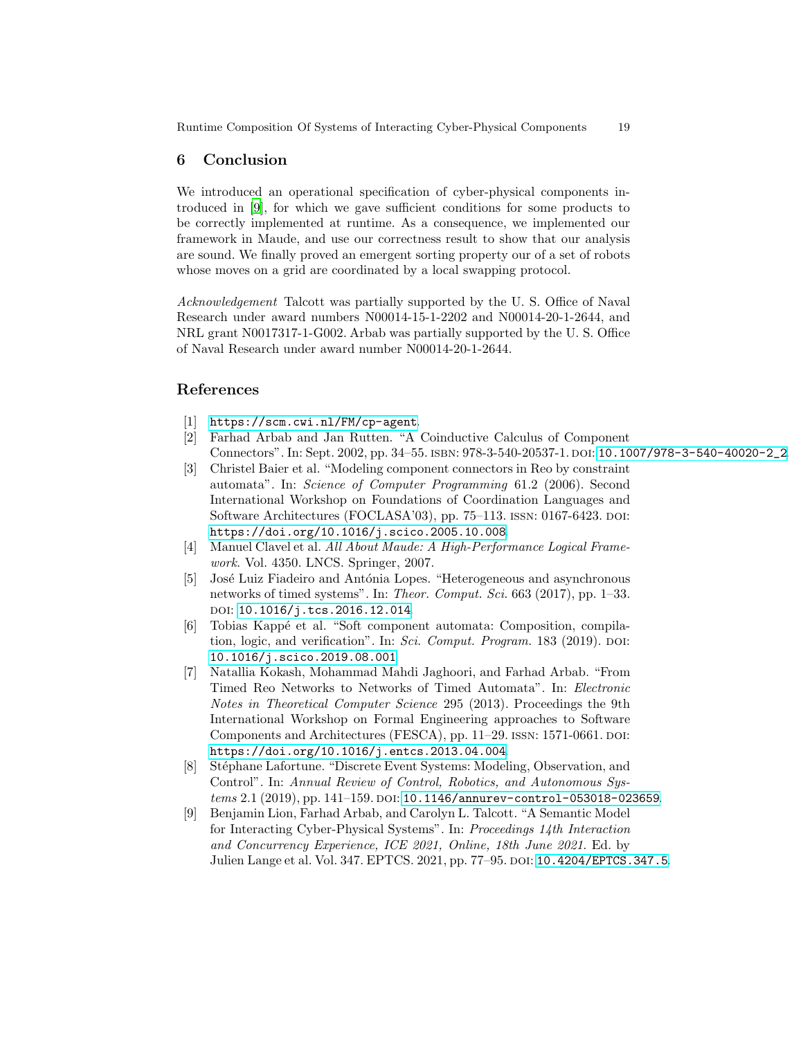# 6 Conclusion

We introduced an operational specification of cyber-physical components introduced in [9], for which we gave sufficient conditions for some products to be correctly implemented at runtime. As a consequence, we implemented our framework in Maude, and use our correctness result to show that our analysis are sound. We finally proved an emergent sorting property our of a set of robots whose moves on a grid are coordinated by a local swapping protocol.

*Acknowledgement* Talcott was partially supported by the U. S. Office of Naval Research under award numbers N00014-15-1-2202 and N00014-20-1-2644, and NRL grant N0017317-1-G002. Arbab was partially supported by the U. S. Office of Naval Research under award number N00014-20-1-2644.

# <span id="page-18-0"></span>References

- <span id="page-18-2"></span>[1] <https://scm.cwi.nl/FM/cp-agent>.
- [2] Farhad Arbab and Jan Rutten. "A Coinductive Calculus of Component Connectors". In: Sept. 2002, pp. 34–55. ISBN: 978-3-540-20537-1. DOI: [10.1007/978-3-540-40020-2\\_2](https://doi.org/10.1007/978-3-540-40020-2_2).
- <span id="page-18-3"></span>[3] Christel Baier et al. "Modeling component connectors in Reo by constraint automata". In: *Science of Computer Programming* 61.2 (2006). Second International Workshop on Foundations of Coordination Languages and Software Architectures (FOCLASA'03), pp. 75–113. ISSN: 0167-6423. DOI: [https://doi.org/10.1016/j.scico.2005.10.008](https://doi.org/https://doi.org/10.1016/j.scico.2005.10.008).
- <span id="page-18-1"></span>[4] Manuel Clavel et al. *All About Maude: A High-Performance Logical Framework*. Vol. 4350. LNCS. Springer, 2007.
- [5] José Luiz Fiadeiro and Antónia Lopes. "Heterogeneous and asynchronous" networks of timed systems". In: *Theor. Comput. Sci.* 663 (2017), pp. 1–33. doi: [10.1016/j.tcs.2016.12.014](https://doi.org/10.1016/j.tcs.2016.12.014).
- [6] Tobias Kapp´e et al. "Soft component automata: Composition, compilation, logic, and verification". In: *Sci. Comput. Program.* 183 (2019). DOI: [10.1016/j.scico.2019.08.001](https://doi.org/10.1016/j.scico.2019.08.001).
- <span id="page-18-4"></span>[7] Natallia Kokash, Mohammad Mahdi Jaghoori, and Farhad Arbab. "From Timed Reo Networks to Networks of Timed Automata". In: *Electronic Notes in Theoretical Computer Science* 295 (2013). Proceedings the 9th International Workshop on Formal Engineering approaches to Software Components and Architectures (FESCA), pp. 11–29. ISSN: 1571-0661. DOI: [https://doi.org/10.1016/j.entcs.2013.04.004](https://doi.org/https://doi.org/10.1016/j.entcs.2013.04.004).
- [8] St´ephane Lafortune. "Discrete Event Systems: Modeling, Observation, and Control". In: *Annual Review of Control, Robotics, and Autonomous Systems* 2.1 (2019), pp. 141–159. DOI: [10.1146/annurev-control-053018-023659](https://doi.org/10.1146/annurev-control-053018-023659).
- [9] Benjamin Lion, Farhad Arbab, and Carolyn L. Talcott. "A Semantic Model for Interacting Cyber-Physical Systems". In: *Proceedings 14th Interaction and Concurrency Experience, ICE 2021, Online, 18th June 2021*. Ed. by Julien Lange et al. Vol. 347. EPTCS. 2021, pp. 77–95. doi: [10.4204/EPTCS.347.5](https://doi.org/10.4204/EPTCS.347.5).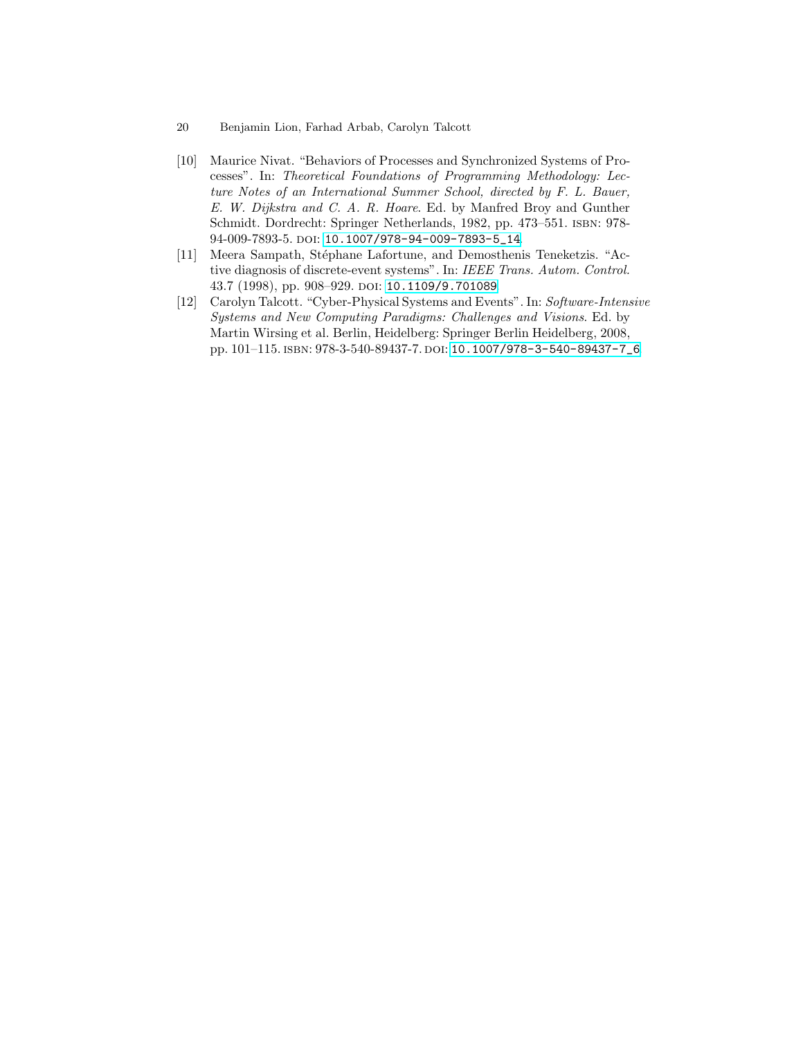- 20 Benjamin Lion, Farhad Arbab, Carolyn Talcott
- <span id="page-19-1"></span>[10] Maurice Nivat. "Behaviors of Processes and Synchronized Systems of Processes". In: *Theoretical Foundations of Programming Methodology: Lecture Notes of an International Summer School, directed by F. L. Bauer, E. W. Dijkstra and C. A. R. Hoare*. Ed. by Manfred Broy and Gunther Schmidt. Dordrecht: Springer Netherlands, 1982, pp. 473–551. isbn: 978- 94-009-7893-5. doi: [10.1007/978-94-009-7893-5\\_14](https://doi.org/10.1007/978-94-009-7893-5_14).
- [11] Meera Sampath, Stéphane Lafortune, and Demosthenis Teneketzis. "Active diagnosis of discrete-event systems". In: *IEEE Trans. Autom. Control.* 43.7 (1998), pp. 908–929. doi: [10.1109/9.701089](https://doi.org/10.1109/9.701089).
- <span id="page-19-0"></span>[12] Carolyn Talcott. "Cyber-Physical Systems and Events". In: *Software-Intensive Systems and New Computing Paradigms: Challenges and Visions*. Ed. by Martin Wirsing et al. Berlin, Heidelberg: Springer Berlin Heidelberg, 2008, pp. 101–115. isbn: 978-3-540-89437-7. doi: [10.1007/978-3-540-89437-7\\_6](https://doi.org/10.1007/978-3-540-89437-7_6).